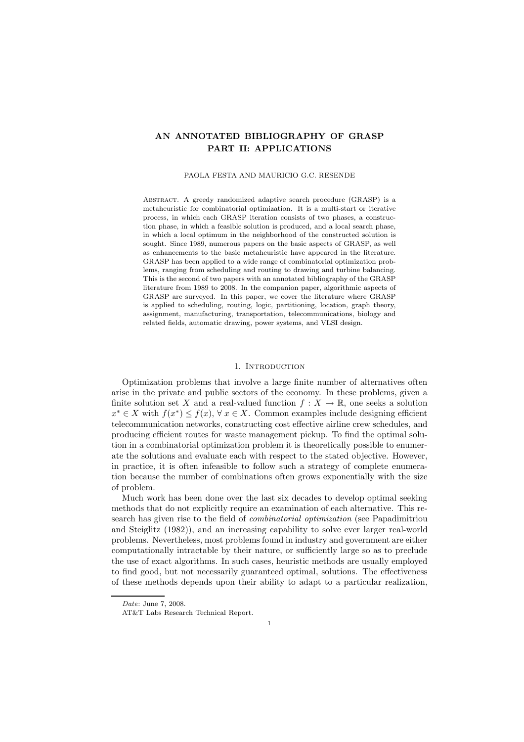# AN ANNOTATED BIBLIOGRAPHY OF GRASP PART II: APPLICATIONS

#### PAOLA FESTA AND MAURICIO G.C. RESENDE

Abstract. A greedy randomized adaptive search procedure (GRASP) is a metaheuristic for combinatorial optimization. It is a multi-start or iterative process, in which each GRASP iteration consists of two phases, a construction phase, in which a feasible solution is produced, and a local search phase, in which a local optimum in the neighborhood of the constructed solution is sought. Since 1989, numerous papers on the basic aspects of GRASP, as well as enhancements to the basic metaheuristic have appeared in the literature. GRASP has been applied to a wide range of combinatorial optimization problems, ranging from scheduling and routing to drawing and turbine balancing. This is the second of two papers with an annotated bibliography of the GRASP literature from 1989 to 2008. In the companion paper, algorithmic aspects of GRASP are surveyed. In this paper, we cover the literature where GRASP is applied to scheduling, routing, logic, partitioning, location, graph theory, assignment, manufacturing, transportation, telecommunications, biology and related fields, automatic drawing, power systems, and VLSI design.

### 1. INTRODUCTION

Optimization problems that involve a large finite number of alternatives often arise in the private and public sectors of the economy. In these problems, given a finite solution set X and a real-valued function  $f: X \to \mathbb{R}$ , one seeks a solution  $x^* \in X$  with  $f(x^*) \leq f(x), \forall x \in X$ . Common examples include designing efficient telecommunication networks, constructing cost effective airline crew schedules, and producing efficient routes for waste management pickup. To find the optimal solution in a combinatorial optimization problem it is theoretically possible to enumerate the solutions and evaluate each with respect to the stated objective. However, in practice, it is often infeasible to follow such a strategy of complete enumeration because the number of combinations often grows exponentially with the size of problem.

Much work has been done over the last six decades to develop optimal seeking methods that do not explicitly require an examination of each alternative. This research has given rise to the field of combinatorial optimization (see Papadimitriou and Steiglitz (1982)), and an increasing capability to solve ever larger real-world problems. Nevertheless, most problems found in industry and government are either computationally intractable by their nature, or sufficiently large so as to preclude the use of exact algorithms. In such cases, heuristic methods are usually employed to find good, but not necessarily guaranteed optimal, solutions. The effectiveness of these methods depends upon their ability to adapt to a particular realization,

Date: June 7, 2008.

AT&T Labs Research Technical Report.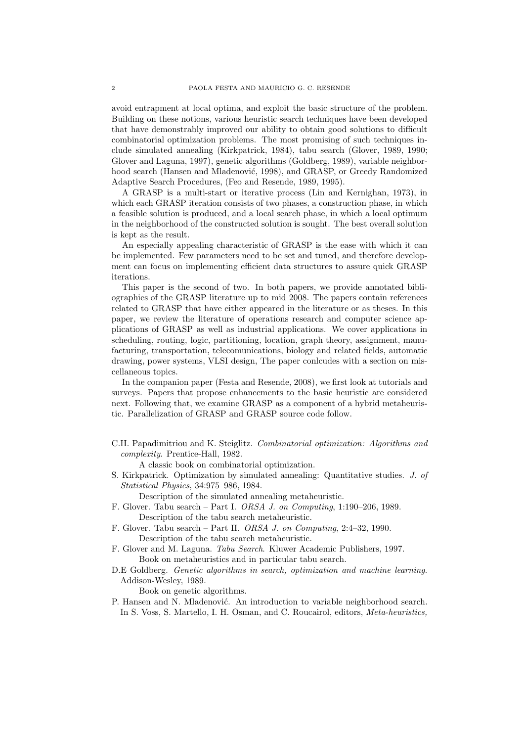avoid entrapment at local optima, and exploit the basic structure of the problem. Building on these notions, various heuristic search techniques have been developed that have demonstrably improved our ability to obtain good solutions to difficult combinatorial optimization problems. The most promising of such techniques include simulated annealing (Kirkpatrick, 1984), tabu search (Glover, 1989, 1990; Glover and Laguna, 1997), genetic algorithms (Goldberg, 1989), variable neighborhood search (Hansen and Mladenović, 1998), and GRASP, or Greedy Randomized Adaptive Search Procedures, (Feo and Resende, 1989, 1995).

A GRASP is a multi-start or iterative process (Lin and Kernighan, 1973), in which each GRASP iteration consists of two phases, a construction phase, in which a feasible solution is produced, and a local search phase, in which a local optimum in the neighborhood of the constructed solution is sought. The best overall solution is kept as the result.

An especially appealing characteristic of GRASP is the ease with which it can be implemented. Few parameters need to be set and tuned, and therefore development can focus on implementing efficient data structures to assure quick GRASP iterations.

This paper is the second of two. In both papers, we provide annotated bibliographies of the GRASP literature up to mid 2008. The papers contain references related to GRASP that have either appeared in the literature or as theses. In this paper, we review the literature of operations research and computer science applications of GRASP as well as industrial applications. We cover applications in scheduling, routing, logic, partitioning, location, graph theory, assignment, manufacturing, transportation, telecomunications, biology and related fields, automatic drawing, power systems, VLSI design, The paper conlcudes with a section on miscellaneous topics.

In the companion paper (Festa and Resende, 2008), we first look at tutorials and surveys. Papers that propose enhancements to the basic heuristic are considered next. Following that, we examine GRASP as a component of a hybrid metaheuristic. Parallelization of GRASP and GRASP source code follow.

C.H. Papadimitriou and K. Steiglitz. Combinatorial optimization: Algorithms and complexity. Prentice-Hall, 1982.

A classic book on combinatorial optimization.

- S. Kirkpatrick. Optimization by simulated annealing: Quantitative studies. J. of Statistical Physics, 34:975–986, 1984.
	- Description of the simulated annealing metaheuristic.
- F. Glover. Tabu search Part I. ORSA J. on Computing, 1:190–206, 1989. Description of the tabu search metaheuristic.
- F. Glover. Tabu search Part II. ORSA J. on Computing, 2:4–32, 1990. Description of the tabu search metaheuristic.
- F. Glover and M. Laguna. Tabu Search. Kluwer Academic Publishers, 1997. Book on metaheuristics and in particular tabu search.
- D.E Goldberg. Genetic algorithms in search, optimization and machine learning. Addison-Wesley, 1989.

Book on genetic algorithms.

P. Hansen and N. Mladenović. An introduction to variable neighborhood search. In S. Voss, S. Martello, I. H. Osman, and C. Roucairol, editors, Meta-heuristics,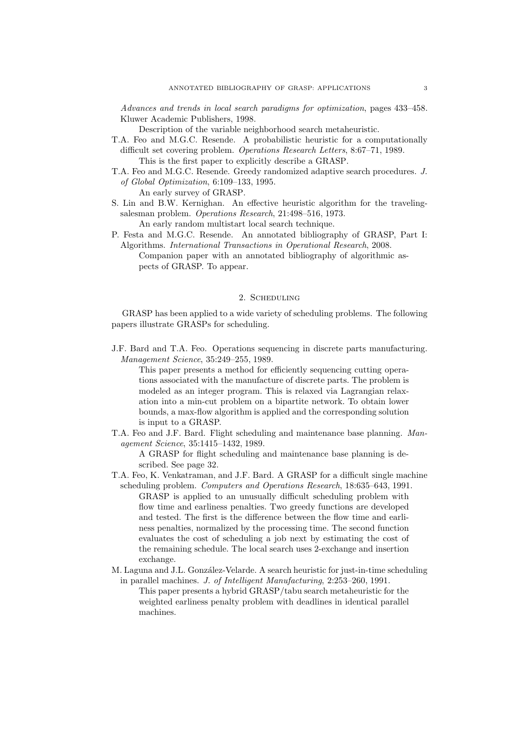Advances and trends in local search paradigms for optimization, pages 433–458. Kluwer Academic Publishers, 1998.

Description of the variable neighborhood search metaheuristic.

- T.A. Feo and M.G.C. Resende. A probabilistic heuristic for a computationally difficult set covering problem. Operations Research Letters, 8:67–71, 1989. This is the first paper to explicitly describe a GRASP.
- T.A. Feo and M.G.C. Resende. Greedy randomized adaptive search procedures. J. of Global Optimization, 6:109–133, 1995.
	- An early survey of GRASP.
- S. Lin and B.W. Kernighan. An effective heuristic algorithm for the travelingsalesman problem. Operations Research, 21:498–516, 1973. An early random multistart local search technique.
- P. Festa and M.G.C. Resende. An annotated bibliography of GRASP, Part I: Algorithms. International Transactions in Operational Research, 2008.

Companion paper with an annotated bibliography of algorithmic aspects of GRASP. To appear.

### 2. Scheduling

GRASP has been applied to a wide variety of scheduling problems. The following papers illustrate GRASPs for scheduling.

J.F. Bard and T.A. Feo. Operations sequencing in discrete parts manufacturing. Management Science, 35:249–255, 1989.

This paper presents a method for efficiently sequencing cutting operations associated with the manufacture of discrete parts. The problem is modeled as an integer program. This is relaxed via Lagrangian relaxation into a min-cut problem on a bipartite network. To obtain lower bounds, a max-flow algorithm is applied and the corresponding solution is input to a GRASP.

T.A. Feo and J.F. Bard. Flight scheduling and maintenance base planning. Management Science, 35:1415–1432, 1989.

A GRASP for flight scheduling and maintenance base planning is described. See page 32.

T.A. Feo, K. Venkatraman, and J.F. Bard. A GRASP for a difficult single machine scheduling problem. Computers and Operations Research, 18:635–643, 1991. GRASP is applied to an unusually difficult scheduling problem with flow time and earliness penalties. Two greedy functions are developed and tested. The first is the difference between the flow time and earliness penalties, normalized by the processing time. The second function evaluates the cost of scheduling a job next by estimating the cost of the remaining schedule. The local search uses 2-exchange and insertion exchange.

M. Laguna and J.L. González-Velarde. A search heuristic for just-in-time scheduling in parallel machines. J. of Intelligent Manufacturing, 2:253–260, 1991.

This paper presents a hybrid GRASP/tabu search metaheuristic for the weighted earliness penalty problem with deadlines in identical parallel machines.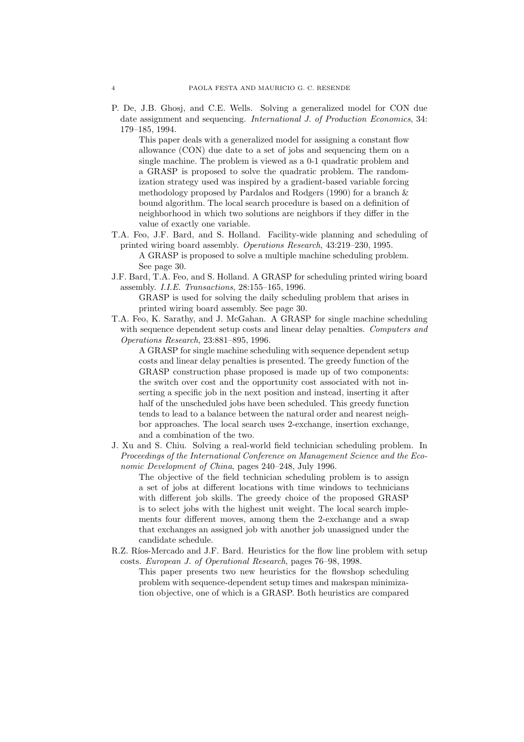P. De, J.B. Ghosj, and C.E. Wells. Solving a generalized model for CON due date assignment and sequencing. International J. of Production Economics, 34: 179–185, 1994.

This paper deals with a generalized model for assigning a constant flow allowance (CON) due date to a set of jobs and sequencing them on a single machine. The problem is viewed as a 0-1 quadratic problem and a GRASP is proposed to solve the quadratic problem. The randomization strategy used was inspired by a gradient-based variable forcing methodology proposed by Pardalos and Rodgers (1990) for a branch & bound algorithm. The local search procedure is based on a definition of neighborhood in which two solutions are neighbors if they differ in the value of exactly one variable.

- T.A. Feo, J.F. Bard, and S. Holland. Facility-wide planning and scheduling of printed wiring board assembly. Operations Research, 43:219–230, 1995. A GRASP is proposed to solve a multiple machine scheduling problem. See page 30.
- J.F. Bard, T.A. Feo, and S. Holland. A GRASP for scheduling printed wiring board assembly. I.I.E. Transactions, 28:155–165, 1996.

GRASP is used for solving the daily scheduling problem that arises in printed wiring board assembly. See page 30.

T.A. Feo, K. Sarathy, and J. McGahan. A GRASP for single machine scheduling with sequence dependent setup costs and linear delay penalties. Computers and Operations Research, 23:881–895, 1996.

A GRASP for single machine scheduling with sequence dependent setup costs and linear delay penalties is presented. The greedy function of the GRASP construction phase proposed is made up of two components: the switch over cost and the opportunity cost associated with not inserting a specific job in the next position and instead, inserting it after half of the unscheduled jobs have been scheduled. This greedy function tends to lead to a balance between the natural order and nearest neighbor approaches. The local search uses 2-exchange, insertion exchange, and a combination of the two.

J. Xu and S. Chiu. Solving a real-world field technician scheduling problem. In Proceedings of the International Conference on Management Science and the Economic Development of China, pages 240–248, July 1996.

The objective of the field technician scheduling problem is to assign a set of jobs at different locations with time windows to technicians with different job skills. The greedy choice of the proposed GRASP is to select jobs with the highest unit weight. The local search implements four different moves, among them the 2-exchange and a swap that exchanges an assigned job with another job unassigned under the candidate schedule.

R.Z. Ríos-Mercado and J.F. Bard. Heuristics for the flow line problem with setup costs. European J. of Operational Research, pages 76–98, 1998.

This paper presents two new heuristics for the flowshop scheduling problem with sequence-dependent setup times and makespan minimization objective, one of which is a GRASP. Both heuristics are compared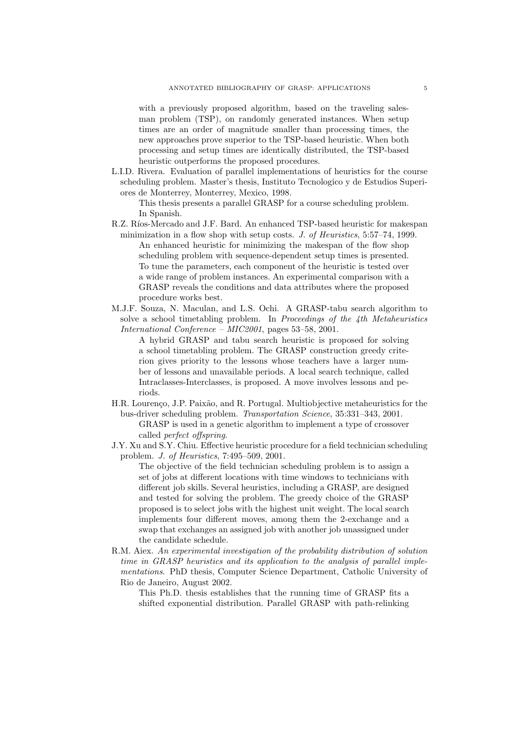with a previously proposed algorithm, based on the traveling salesman problem (TSP), on randomly generated instances. When setup times are an order of magnitude smaller than processing times, the new approaches prove superior to the TSP-based heuristic. When both processing and setup times are identically distributed, the TSP-based heuristic outperforms the proposed procedures.

L.I.D. Rivera. Evaluation of parallel implementations of heuristics for the course scheduling problem. Master's thesis, Instituto Tecnologico y de Estudios Superiores de Monterrey, Monterrey, Mexico, 1998.

This thesis presents a parallel GRASP for a course scheduling problem. In Spanish.

- R.Z. Ríos-Mercado and J.F. Bard. An enhanced TSP-based heuristic for makespan minimization in a flow shop with setup costs. J. of Heuristics, 5:57–74, 1999. An enhanced heuristic for minimizing the makespan of the flow shop scheduling problem with sequence-dependent setup times is presented. To tune the parameters, each component of the heuristic is tested over a wide range of problem instances. An experimental comparison with a GRASP reveals the conditions and data attributes where the proposed procedure works best.
- M.J.F. Souza, N. Maculan, and L.S. Ochi. A GRASP-tabu search algorithm to solve a school timetabling problem. In Proceedings of the  $4th$  Metaheuristics International Conference – MIC2001, pages 53–58, 2001.

A hybrid GRASP and tabu search heuristic is proposed for solving a school timetabling problem. The GRASP construction greedy criterion gives priority to the lessons whose teachers have a larger number of lessons and unavailable periods. A local search technique, called Intraclasses-Interclasses, is proposed. A move involves lessons and periods.

- H.R. Lourenço, J.P. Paixão, and R. Portugal. Multiobjective metaheuristics for the bus-driver scheduling problem. Transportation Science, 35:331–343, 2001. GRASP is used in a genetic algorithm to implement a type of crossover called perfect offspring.
- J.Y. Xu and S.Y. Chiu. Effective heuristic procedure for a field technician scheduling problem. J. of Heuristics, 7:495–509, 2001.

The objective of the field technician scheduling problem is to assign a set of jobs at different locations with time windows to technicians with different job skills. Several heuristics, including a GRASP, are designed and tested for solving the problem. The greedy choice of the GRASP proposed is to select jobs with the highest unit weight. The local search implements four different moves, among them the 2-exchange and a swap that exchanges an assigned job with another job unassigned under the candidate schedule.

R.M. Aiex. An experimental investigation of the probability distribution of solution time in GRASP heuristics and its application to the analysis of parallel implementations. PhD thesis, Computer Science Department, Catholic University of Rio de Janeiro, August 2002.

This Ph.D. thesis establishes that the running time of GRASP fits a shifted exponential distribution. Parallel GRASP with path-relinking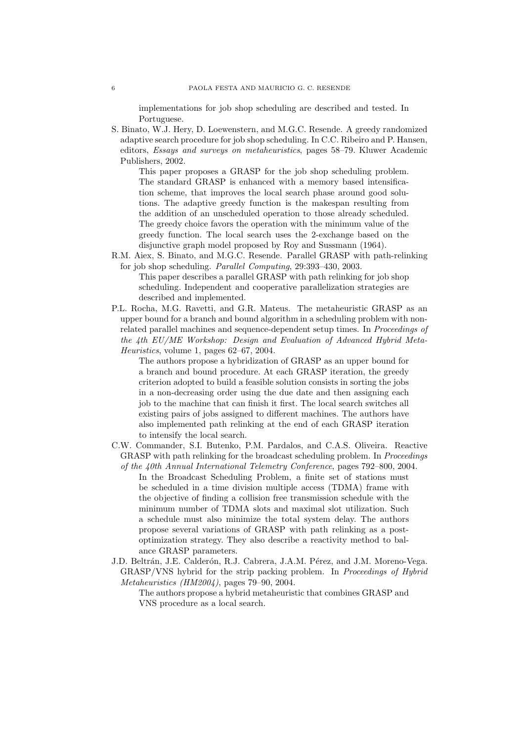implementations for job shop scheduling are described and tested. In Portuguese.

S. Binato, W.J. Hery, D. Loewenstern, and M.G.C. Resende. A greedy randomized adaptive search procedure for job shop scheduling. In C.C. Ribeiro and P. Hansen, editors, Essays and surveys on metaheuristics, pages 58–79. Kluwer Academic Publishers, 2002.

This paper proposes a GRASP for the job shop scheduling problem. The standard GRASP is enhanced with a memory based intensification scheme, that improves the local search phase around good solutions. The adaptive greedy function is the makespan resulting from the addition of an unscheduled operation to those already scheduled. The greedy choice favors the operation with the minimum value of the greedy function. The local search uses the 2-exchange based on the disjunctive graph model proposed by Roy and Sussmann (1964).

R.M. Aiex, S. Binato, and M.G.C. Resende. Parallel GRASP with path-relinking for job shop scheduling. Parallel Computing, 29:393–430, 2003.

This paper describes a parallel GRASP with path relinking for job shop scheduling. Independent and cooperative parallelization strategies are described and implemented.

P.L. Rocha, M.G. Ravetti, and G.R. Mateus. The metaheuristic GRASP as an upper bound for a branch and bound algorithm in a scheduling problem with nonrelated parallel machines and sequence-dependent setup times. In Proceedings of the 4th EU/ME Workshop: Design and Evaluation of Advanced Hybrid Meta-Heuristics, volume 1, pages 62–67, 2004.

The authors propose a hybridization of GRASP as an upper bound for a branch and bound procedure. At each GRASP iteration, the greedy criterion adopted to build a feasible solution consists in sorting the jobs in a non-decreasing order using the due date and then assigning each job to the machine that can finish it first. The local search switches all existing pairs of jobs assigned to different machines. The authors have also implemented path relinking at the end of each GRASP iteration to intensify the local search.

C.W. Commander, S.I. Butenko, P.M. Pardalos, and C.A.S. Oliveira. Reactive GRASP with path relinking for the broadcast scheduling problem. In *Proceedings* of the 40th Annual International Telemetry Conference, pages 792–800, 2004.

In the Broadcast Scheduling Problem, a finite set of stations must be scheduled in a time division multiple access (TDMA) frame with the objective of finding a collision free transmission schedule with the minimum number of TDMA slots and maximal slot utilization. Such a schedule must also minimize the total system delay. The authors propose several variations of GRASP with path relinking as a postoptimization strategy. They also describe a reactivity method to balance GRASP parameters.

J.D. Beltrán, J.E. Calderón, R.J. Cabrera, J.A.M. Pérez, and J.M. Moreno-Vega. GRASP/VNS hybrid for the strip packing problem. In Proceedings of Hybrid Metaheuristics (HM2004), pages 79–90, 2004.

The authors propose a hybrid metaheuristic that combines GRASP and VNS procedure as a local search.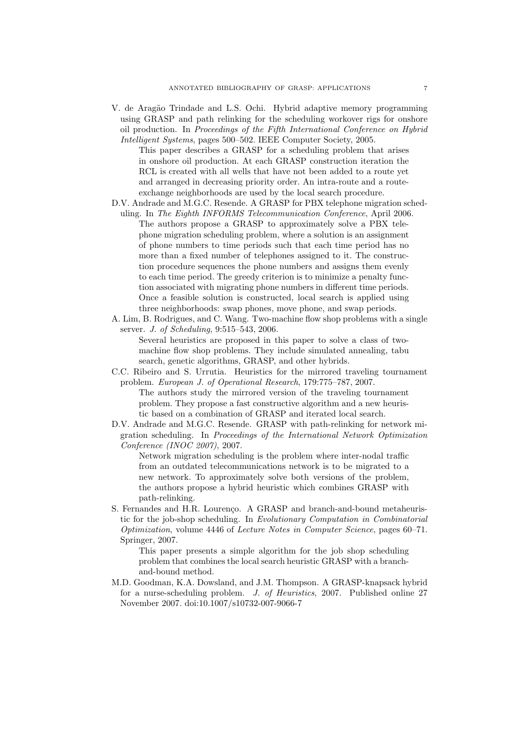- V. de Aragão Trindade and L.S. Ochi. Hybrid adaptive memory programming using GRASP and path relinking for the scheduling workover rigs for onshore oil production. In Proceedings of the Fifth International Conference on Hybrid Intelligent Systems, pages 500–502. IEEE Computer Society, 2005.
	- This paper describes a GRASP for a scheduling problem that arises in onshore oil production. At each GRASP construction iteration the RCL is created with all wells that have not been added to a route yet and arranged in decreasing priority order. An intra-route and a routeexchange neighborhoods are used by the local search procedure.
- D.V. Andrade and M.G.C. Resende. A GRASP for PBX telephone migration scheduling. In The Eighth INFORMS Telecommunication Conference, April 2006. The authors propose a GRASP to approximately solve a PBX telephone migration scheduling problem, where a solution is an assignment of phone numbers to time periods such that each time period has no more than a fixed number of telephones assigned to it. The construction procedure sequences the phone numbers and assigns them evenly to each time period. The greedy criterion is to minimize a penalty function associated with migrating phone numbers in different time periods. Once a feasible solution is constructed, local search is applied using three neighborhoods: swap phones, move phone, and swap periods.
- A. Lim, B. Rodrigues, and C. Wang. Two-machine flow shop problems with a single server. J. of Scheduling, 9:515–543, 2006. Several heuristics are proposed in this paper to solve a class of two
	- machine flow shop problems. They include simulated annealing, tabu search, genetic algorithms, GRASP, and other hybrids.
- C.C. Ribeiro and S. Urrutia. Heuristics for the mirrored traveling tournament problem. European J. of Operational Research, 179:775–787, 2007.
	- The authors study the mirrored version of the traveling tournament problem. They propose a fast constructive algorithm and a new heuristic based on a combination of GRASP and iterated local search.
- D.V. Andrade and M.G.C. Resende. GRASP with path-relinking for network migration scheduling. In Proceedings of the International Network Optimization Conference (INOC 2007), 2007.

Network migration scheduling is the problem where inter-nodal traffic from an outdated telecommunications network is to be migrated to a new network. To approximately solve both versions of the problem, the authors propose a hybrid heuristic which combines GRASP with path-relinking.

S. Fernandes and H.R. Lourenco. A GRASP and branch-and-bound metaheuristic for the job-shop scheduling. In Evolutionary Computation in Combinatorial Optimization, volume 4446 of Lecture Notes in Computer Science, pages 60–71. Springer, 2007.

This paper presents a simple algorithm for the job shop scheduling problem that combines the local search heuristic GRASP with a branchand-bound method.

M.D. Goodman, K.A. Dowsland, and J.M. Thompson. A GRASP-knapsack hybrid for a nurse-scheduling problem. J. of Heuristics, 2007. Published online 27 November 2007. doi:10.1007/s10732-007-9066-7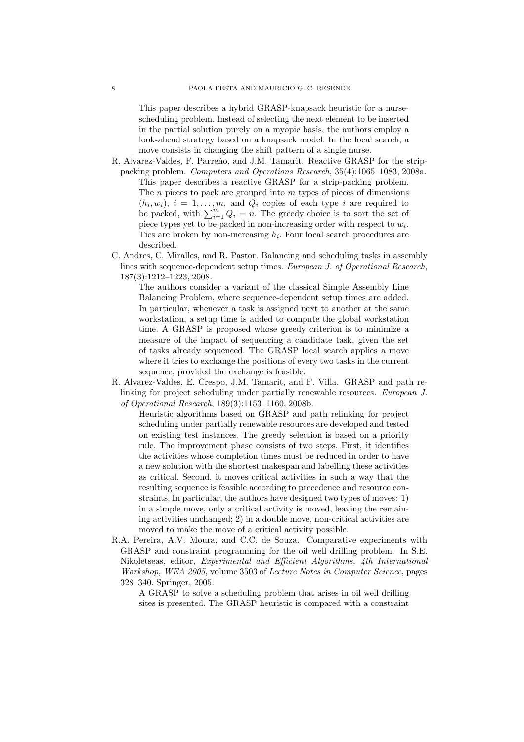This paper describes a hybrid GRASP-knapsack heuristic for a nursescheduling problem. Instead of selecting the next element to be inserted in the partial solution purely on a myopic basis, the authors employ a look-ahead strategy based on a knapsack model. In the local search, a move consists in changing the shift pattern of a single nurse.

- R. Alvarez-Valdes, F. Parreño, and J.M. Tamarit. Reactive GRASP for the strippacking problem. Computers and Operations Research, 35(4):1065–1083, 2008a. This paper describes a reactive GRASP for a strip-packing problem. The  $n$  pieces to pack are grouped into  $m$  types of pieces of dimensions  $(h_i, w_i)$ ,  $i = 1, ..., m$ , and  $Q_i$  copies of each type i are required to be packed, with  $\sum_{i=1}^{m} Q_i = n$ . The greedy choice is to sort the set of piece types yet to be packed in non-increasing order with respect to  $w_i$ . Ties are broken by non-increasing  $h_i$ . Four local search procedures are described.
- C. Andres, C. Miralles, and R. Pastor. Balancing and scheduling tasks in assembly lines with sequence-dependent setup times. European J. of Operational Research, 187(3):1212–1223, 2008.

The authors consider a variant of the classical Simple Assembly Line Balancing Problem, where sequence-dependent setup times are added. In particular, whenever a task is assigned next to another at the same workstation, a setup time is added to compute the global workstation time. A GRASP is proposed whose greedy criterion is to minimize a measure of the impact of sequencing a candidate task, given the set of tasks already sequenced. The GRASP local search applies a move where it tries to exchange the positions of every two tasks in the current sequence, provided the exchange is feasible.

- R. Alvarez-Valdes, E. Crespo, J.M. Tamarit, and F. Villa. GRASP and path relinking for project scheduling under partially renewable resources. European J. of Operational Research, 189(3):1153–1160, 2008b.
	- Heuristic algorithms based on GRASP and path relinking for project scheduling under partially renewable resources are developed and tested on existing test instances. The greedy selection is based on a priority rule. The improvement phase consists of two steps. First, it identifies the activities whose completion times must be reduced in order to have a new solution with the shortest makespan and labelling these activities as critical. Second, it moves critical activities in such a way that the resulting sequence is feasible according to precedence and resource constraints. In particular, the authors have designed two types of moves: 1) in a simple move, only a critical activity is moved, leaving the remaining activities unchanged; 2) in a double move, non-critical activities are moved to make the move of a critical activity possible.
- R.A. Pereira, A.V. Moura, and C.C. de Souza. Comparative experiments with GRASP and constraint programming for the oil well drilling problem. In S.E. Nikoletseas, editor, Experimental and Efficient Algorithms, 4th International Workshop, WEA 2005, volume 3503 of Lecture Notes in Computer Science, pages 328–340. Springer, 2005.

A GRASP to solve a scheduling problem that arises in oil well drilling sites is presented. The GRASP heuristic is compared with a constraint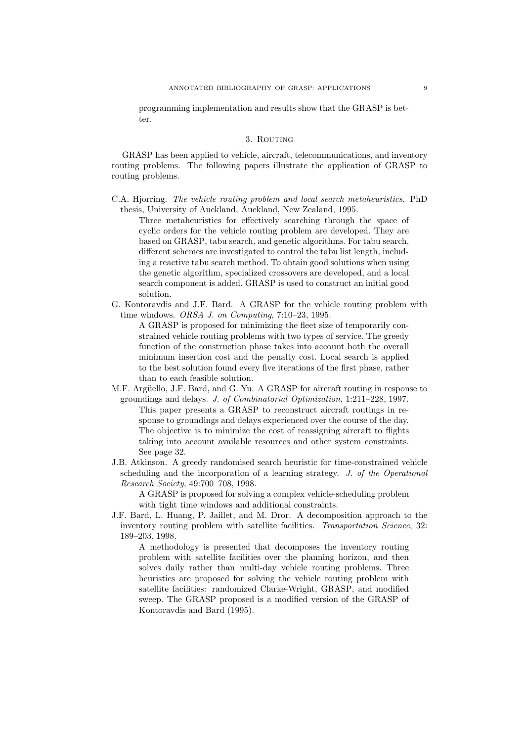programming implementation and results show that the GRASP is better.

## 3. ROUTING

GRASP has been applied to vehicle, aircraft, telecommunications, and inventory routing problems. The following papers illustrate the application of GRASP to routing problems.

C.A. Hjorring. The vehicle routing problem and local search metaheuristics. PhD thesis, University of Auckland, Auckland, New Zealand, 1995.

Three metaheuristics for effectively searching through the space of cyclic orders for the vehicle routing problem are developed. They are based on GRASP, tabu search, and genetic algorithms. For tabu search, different schemes are investigated to control the tabu list length, including a reactive tabu search method. To obtain good solutions when using the genetic algorithm, specialized crossovers are developed, and a local search component is added. GRASP is used to construct an initial good solution.

G. Kontoravdis and J.F. Bard. A GRASP for the vehicle routing problem with time windows. ORSA J. on Computing, 7:10–23, 1995.

A GRASP is proposed for minimizing the fleet size of temporarily constrained vehicle routing problems with two types of service. The greedy function of the construction phase takes into account both the overall minimum insertion cost and the penalty cost. Local search is applied to the best solution found every five iterations of the first phase, rather than to each feasible solution.

- M.F. Argüello, J.F. Bard, and G. Yu. A GRASP for aircraft routing in response to groundings and delays. J. of Combinatorial Optimization, 1:211–228, 1997. This paper presents a GRASP to reconstruct aircraft routings in response to groundings and delays experienced over the course of the day. The objective is to minimize the cost of reassigning aircraft to flights taking into account available resources and other system constraints. See page 32.
- J.B. Atkinson. A greedy randomised search heuristic for time-constrained vehicle scheduling and the incorporation of a learning strategy. J. of the Operational Research Society, 49:700–708, 1998.

A GRASP is proposed for solving a complex vehicle-scheduling problem with tight time windows and additional constraints.

J.F. Bard, L. Huang, P. Jaillet, and M. Dror. A decomposition approach to the inventory routing problem with satellite facilities. Transportation Science, 32: 189–203, 1998.

A methodology is presented that decomposes the inventory routing problem with satellite facilities over the planning horizon, and then solves daily rather than multi-day vehicle routing problems. Three heuristics are proposed for solving the vehicle routing problem with satellite facilities: randomized Clarke-Wright, GRASP, and modified sweep. The GRASP proposed is a modified version of the GRASP of Kontoravdis and Bard (1995).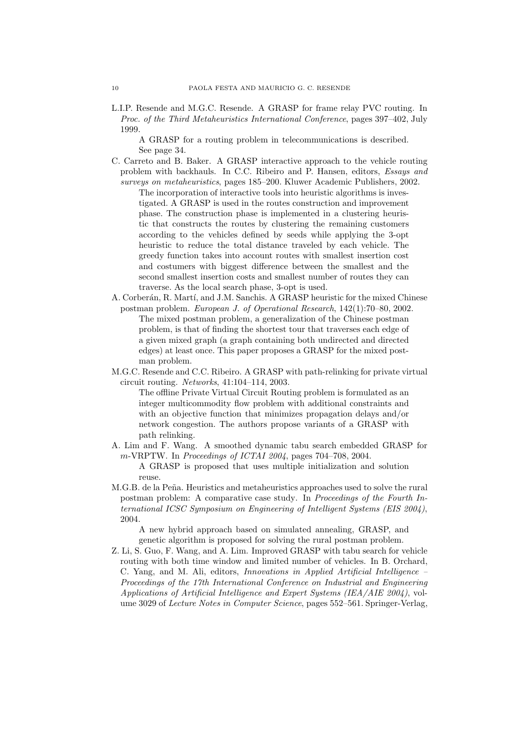L.I.P. Resende and M.G.C. Resende. A GRASP for frame relay PVC routing. In Proc. of the Third Metaheuristics International Conference, pages 397–402, July 1999.

A GRASP for a routing problem in telecommunications is described. See page 34.

- C. Carreto and B. Baker. A GRASP interactive approach to the vehicle routing problem with backhauls. In C.C. Ribeiro and P. Hansen, editors, Essays and surveys on metaheuristics, pages 185–200. Kluwer Academic Publishers, 2002.
	- The incorporation of interactive tools into heuristic algorithms is investigated. A GRASP is used in the routes construction and improvement phase. The construction phase is implemented in a clustering heuristic that constructs the routes by clustering the remaining customers according to the vehicles defined by seeds while applying the 3-opt heuristic to reduce the total distance traveled by each vehicle. The greedy function takes into account routes with smallest insertion cost and costumers with biggest difference between the smallest and the second smallest insertion costs and smallest number of routes they can traverse. As the local search phase, 3-opt is used.
- A. Corberán, R. Martí, and J.M. Sanchis. A GRASP heuristic for the mixed Chinese postman problem. European J. of Operational Research, 142(1):70–80, 2002. The mixed postman problem, a generalization of the Chinese postman
	- problem, is that of finding the shortest tour that traverses each edge of a given mixed graph (a graph containing both undirected and directed edges) at least once. This paper proposes a GRASP for the mixed postman problem.
- M.G.C. Resende and C.C. Ribeiro. A GRASP with path-relinking for private virtual circuit routing. Networks, 41:104–114, 2003.

The offline Private Virtual Circuit Routing problem is formulated as an integer multicommodity flow problem with additional constraints and with an objective function that minimizes propagation delays and/or network congestion. The authors propose variants of a GRASP with path relinking.

A. Lim and F. Wang. A smoothed dynamic tabu search embedded GRASP for m-VRPTW. In Proceedings of ICTAI 2004, pages 704–708, 2004.

A GRASP is proposed that uses multiple initialization and solution reuse.

M.G.B. de la Pe˜na. Heuristics and metaheuristics approaches used to solve the rural postman problem: A comparative case study. In Proceedings of the Fourth International ICSC Symposium on Engineering of Intelligent Systems (EIS 2004), 2004.

A new hybrid approach based on simulated annealing, GRASP, and genetic algorithm is proposed for solving the rural postman problem.

Z. Li, S. Guo, F. Wang, and A. Lim. Improved GRASP with tabu search for vehicle routing with both time window and limited number of vehicles. In B. Orchard, C. Yang, and M. Ali, editors, Innovations in Applied Artificial Intelligence – Proceedings of the 17th International Conference on Industrial and Engineering Applications of Artificial Intelligence and Expert Systems (IEA/AIE 2004), volume 3029 of Lecture Notes in Computer Science, pages 552–561. Springer-Verlag,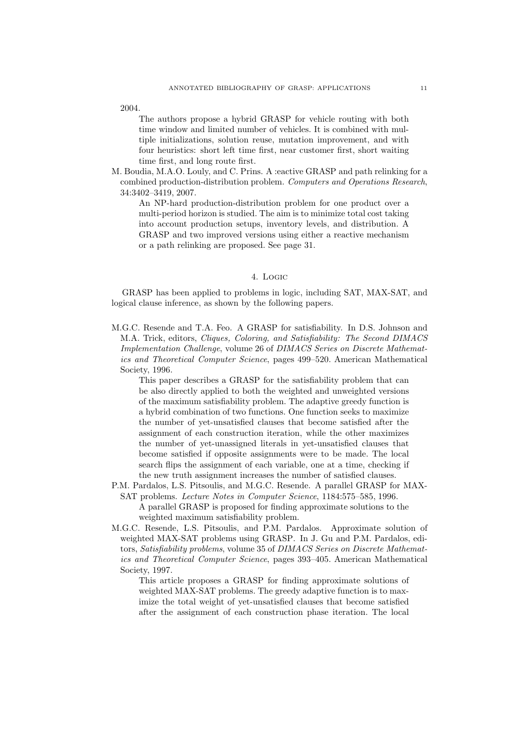2004.

The authors propose a hybrid GRASP for vehicle routing with both time window and limited number of vehicles. It is combined with multiple initializations, solution reuse, mutation improvement, and with four heuristics: short left time first, near customer first, short waiting time first, and long route first.

M. Boudia, M.A.O. Louly, and C. Prins. A :eactive GRASP and path relinking for a combined production-distribution problem. Computers and Operations Research, 34:3402–3419, 2007.

An NP-hard production-distribution problem for one product over a multi-period horizon is studied. The aim is to minimize total cost taking into account production setups, inventory levels, and distribution. A GRASP and two improved versions using either a reactive mechanism or a path relinking are proposed. See page 31.

#### 4. Logic

GRASP has been applied to problems in logic, including SAT, MAX-SAT, and logical clause inference, as shown by the following papers.

M.G.C. Resende and T.A. Feo. A GRASP for satisfiability. In D.S. Johnson and M.A. Trick, editors, Cliques, Coloring, and Satisfiability: The Second DIMACS Implementation Challenge, volume 26 of DIMACS Series on Discrete Mathematics and Theoretical Computer Science, pages 499–520. American Mathematical Society, 1996.

This paper describes a GRASP for the satisfiability problem that can be also directly applied to both the weighted and unweighted versions of the maximum satisfiability problem. The adaptive greedy function is a hybrid combination of two functions. One function seeks to maximize the number of yet-unsatisfied clauses that become satisfied after the assignment of each construction iteration, while the other maximizes the number of yet-unassigned literals in yet-unsatisfied clauses that become satisfied if opposite assignments were to be made. The local search flips the assignment of each variable, one at a time, checking if the new truth assignment increases the number of satisfied clauses.

- P.M. Pardalos, L.S. Pitsoulis, and M.G.C. Resende. A parallel GRASP for MAX-SAT problems. Lecture Notes in Computer Science, 1184:575–585, 1996. A parallel GRASP is proposed for finding approximate solutions to the
- weighted maximum satisfiability problem. M.G.C. Resende, L.S. Pitsoulis, and P.M. Pardalos. Approximate solution of weighted MAX-SAT problems using GRASP. In J. Gu and P.M. Pardalos, editors, Satisfiability problems, volume 35 of DIMACS Series on Discrete Mathematics and Theoretical Computer Science, pages 393–405. American Mathematical Society, 1997.

This article proposes a GRASP for finding approximate solutions of weighted MAX-SAT problems. The greedy adaptive function is to maximize the total weight of yet-unsatisfied clauses that become satisfied after the assignment of each construction phase iteration. The local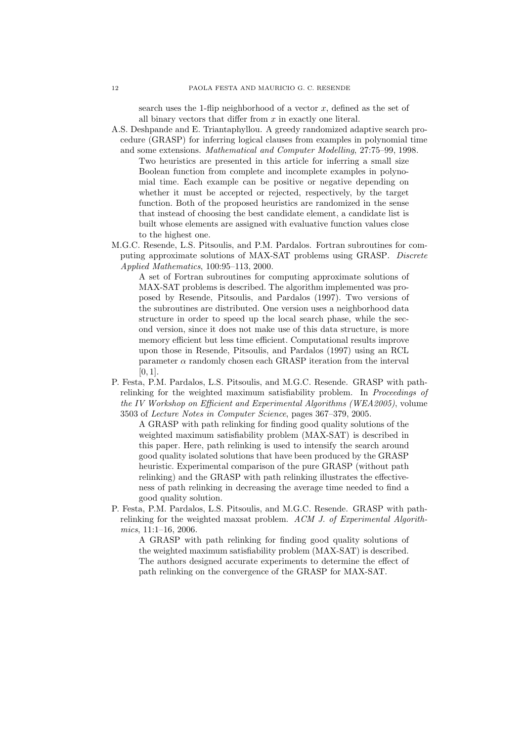search uses the 1-flip neighborhood of a vector  $x$ , defined as the set of all binary vectors that differ from  $x$  in exactly one literal.

A.S. Deshpande and E. Triantaphyllou. A greedy randomized adaptive search procedure (GRASP) for inferring logical clauses from examples in polynomial time and some extensions. Mathematical and Computer Modelling, 27:75–99, 1998.

Two heuristics are presented in this article for inferring a small size Boolean function from complete and incomplete examples in polynomial time. Each example can be positive or negative depending on whether it must be accepted or rejected, respectively, by the target function. Both of the proposed heuristics are randomized in the sense that instead of choosing the best candidate element, a candidate list is built whose elements are assigned with evaluative function values close to the highest one.

M.G.C. Resende, L.S. Pitsoulis, and P.M. Pardalos. Fortran subroutines for computing approximate solutions of MAX-SAT problems using GRASP. Discrete Applied Mathematics, 100:95–113, 2000.

A set of Fortran subroutines for computing approximate solutions of MAX-SAT problems is described. The algorithm implemented was proposed by Resende, Pitsoulis, and Pardalos (1997). Two versions of the subroutines are distributed. One version uses a neighborhood data structure in order to speed up the local search phase, while the second version, since it does not make use of this data structure, is more memory efficient but less time efficient. Computational results improve upon those in Resende, Pitsoulis, and Pardalos (1997) using an RCL parameter  $\alpha$  randomly chosen each GRASP iteration from the interval [0, 1].

P. Festa, P.M. Pardalos, L.S. Pitsoulis, and M.G.C. Resende. GRASP with pathrelinking for the weighted maximum satisfiability problem. In Proceedings of the IV Workshop on Efficient and Experimental Algorithms (WEA2005), volume 3503 of Lecture Notes in Computer Science, pages 367–379, 2005.

A GRASP with path relinking for finding good quality solutions of the weighted maximum satisfiability problem (MAX-SAT) is described in this paper. Here, path relinking is used to intensify the search around good quality isolated solutions that have been produced by the GRASP heuristic. Experimental comparison of the pure GRASP (without path relinking) and the GRASP with path relinking illustrates the effectiveness of path relinking in decreasing the average time needed to find a good quality solution.

P. Festa, P.M. Pardalos, L.S. Pitsoulis, and M.G.C. Resende. GRASP with pathrelinking for the weighted maxsat problem. ACM J. of Experimental Algorithmics, 11:1–16, 2006.

A GRASP with path relinking for finding good quality solutions of the weighted maximum satisfiability problem (MAX-SAT) is described. The authors designed accurate experiments to determine the effect of path relinking on the convergence of the GRASP for MAX-SAT.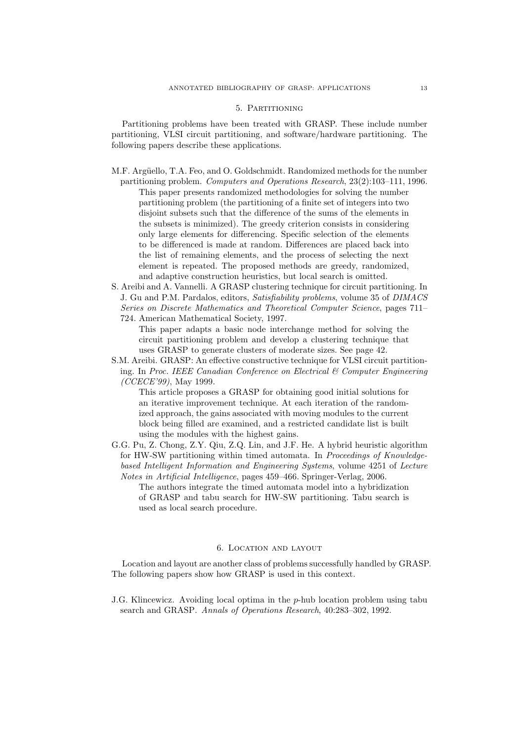#### 5. Partitioning

Partitioning problems have been treated with GRASP. These include number partitioning, VLSI circuit partitioning, and software/hardware partitioning. The following papers describe these applications.

- M.F. Argüello, T.A. Feo, and O. Goldschmidt. Randomized methods for the number partitioning problem. Computers and Operations Research, 23(2):103–111, 1996.
	- This paper presents randomized methodologies for solving the number partitioning problem (the partitioning of a finite set of integers into two disjoint subsets such that the difference of the sums of the elements in the subsets is minimized). The greedy criterion consists in considering only large elements for differencing. Specific selection of the elements to be differenced is made at random. Differences are placed back into the list of remaining elements, and the process of selecting the next element is repeated. The proposed methods are greedy, randomized, and adaptive construction heuristics, but local search is omitted.
- S. Areibi and A. Vannelli. A GRASP clustering technique for circuit partitioning. In J. Gu and P.M. Pardalos, editors, Satisfiability problems, volume 35 of DIMACS Series on Discrete Mathematics and Theoretical Computer Science, pages 711– 724. American Mathematical Society, 1997.

This paper adapts a basic node interchange method for solving the circuit partitioning problem and develop a clustering technique that uses GRASP to generate clusters of moderate sizes. See page 42.

S.M. Areibi. GRASP: An effective constructive technique for VLSI circuit partitioning. In Proc. IEEE Canadian Conference on Electrical & Computer Engineering (CCECE'99), May 1999.

This article proposes a GRASP for obtaining good initial solutions for an iterative improvement technique. At each iteration of the randomized approach, the gains associated with moving modules to the current block being filled are examined, and a restricted candidate list is built using the modules with the highest gains.

G.G. Pu, Z. Chong, Z.Y. Qiu, Z.Q. Lin, and J.F. He. A hybrid heuristic algorithm for HW-SW partitioning within timed automata. In Proceedings of Knowledgebased Intelligent Information and Engineering Systems, volume 4251 of Lecture Notes in Artificial Intelligence, pages 459–466. Springer-Verlag, 2006.

The authors integrate the timed automata model into a hybridization of GRASP and tabu search for HW-SW partitioning. Tabu search is used as local search procedure.

## 6. Location and layout

Location and layout are another class of problems successfully handled by GRASP. The following papers show how GRASP is used in this context.

J.G. Klincewicz. Avoiding local optima in the  $p$ -hub location problem using tabu search and GRASP. Annals of Operations Research, 40:283–302, 1992.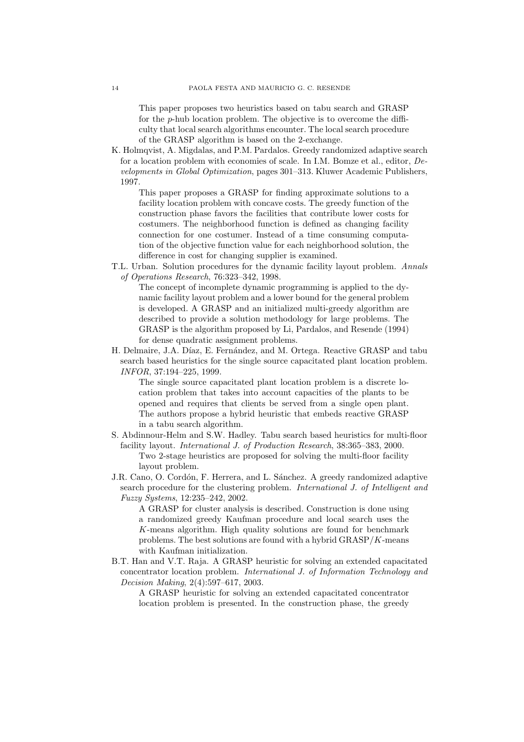This paper proposes two heuristics based on tabu search and GRASP for the p-hub location problem. The objective is to overcome the difficulty that local search algorithms encounter. The local search procedure of the GRASP algorithm is based on the 2-exchange.

K. Holmqvist, A. Migdalas, and P.M. Pardalos. Greedy randomized adaptive search for a location problem with economies of scale. In I.M. Bomze et al., editor, Developments in Global Optimization, pages 301–313. Kluwer Academic Publishers, 1997.

This paper proposes a GRASP for finding approximate solutions to a facility location problem with concave costs. The greedy function of the construction phase favors the facilities that contribute lower costs for costumers. The neighborhood function is defined as changing facility connection for one costumer. Instead of a time consuming computation of the objective function value for each neighborhood solution, the difference in cost for changing supplier is examined.

T.L. Urban. Solution procedures for the dynamic facility layout problem. Annals of Operations Research, 76:323–342, 1998.

The concept of incomplete dynamic programming is applied to the dynamic facility layout problem and a lower bound for the general problem is developed. A GRASP and an initialized multi-greedy algorithm are described to provide a solution methodology for large problems. The GRASP is the algorithm proposed by Li, Pardalos, and Resende (1994) for dense quadratic assignment problems.

H. Delmaire, J.A. Díaz, E. Fernández, and M. Ortega. Reactive GRASP and tabu search based heuristics for the single source capacitated plant location problem. INFOR, 37:194–225, 1999.

The single source capacitated plant location problem is a discrete location problem that takes into account capacities of the plants to be opened and requires that clients be served from a single open plant. The authors propose a hybrid heuristic that embeds reactive GRASP in a tabu search algorithm.

- S. Abdinnour-Helm and S.W. Hadley. Tabu search based heuristics for multi-floor facility layout. International J. of Production Research, 38:365–383, 2000. Two 2-stage heuristics are proposed for solving the multi-floor facility layout problem.
- J.R. Cano, O. Cordón, F. Herrera, and L. Sánchez. A greedy randomized adaptive search procedure for the clustering problem. International J. of Intelligent and Fuzzy Systems, 12:235–242, 2002.

A GRASP for cluster analysis is described. Construction is done using a randomized greedy Kaufman procedure and local search uses the K-means algorithm. High quality solutions are found for benchmark problems. The best solutions are found with a hybrid  $\frac{GRASP}{K-means}$ with Kaufman initialization.

B.T. Han and V.T. Raja. A GRASP heuristic for solving an extended capacitated concentrator location problem. International J. of Information Technology and Decision Making, 2(4):597–617, 2003.

A GRASP heuristic for solving an extended capacitated concentrator location problem is presented. In the construction phase, the greedy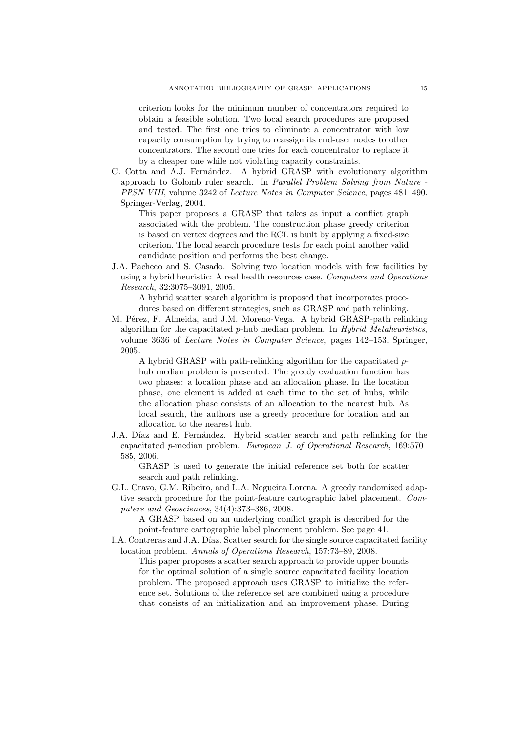criterion looks for the minimum number of concentrators required to obtain a feasible solution. Two local search procedures are proposed and tested. The first one tries to eliminate a concentrator with low capacity consumption by trying to reassign its end-user nodes to other concentrators. The second one tries for each concentrator to replace it by a cheaper one while not violating capacity constraints.

C. Cotta and A.J. Fernández. A hybrid GRASP with evolutionary algorithm approach to Golomb ruler search. In Parallel Problem Solving from Nature - PPSN VIII, volume 3242 of Lecture Notes in Computer Science, pages 481–490. Springer-Verlag, 2004.

This paper proposes a GRASP that takes as input a conflict graph associated with the problem. The construction phase greedy criterion is based on vertex degrees and the RCL is built by applying a fixed-size criterion. The local search procedure tests for each point another valid candidate position and performs the best change.

J.A. Pacheco and S. Casado. Solving two location models with few facilities by using a hybrid heuristic: A real health resources case. Computers and Operations Research, 32:3075–3091, 2005.

A hybrid scatter search algorithm is proposed that incorporates procedures based on different strategies, such as GRASP and path relinking.

M. Pérez, F. Almeida, and J.M. Moreno-Vega. A hybrid GRASP-path relinking algorithm for the capacitated  $p$ -hub median problem. In Hybrid Metaheuristics, volume 3636 of Lecture Notes in Computer Science, pages 142–153. Springer, 2005.

A hybrid GRASP with path-relinking algorithm for the capacitated phub median problem is presented. The greedy evaluation function has two phases: a location phase and an allocation phase. In the location phase, one element is added at each time to the set of hubs, while the allocation phase consists of an allocation to the nearest hub. As local search, the authors use a greedy procedure for location and an allocation to the nearest hub.

J.A. Díaz and E. Fernández. Hybrid scatter search and path relinking for the capacitated p-median problem. European J. of Operational Research, 169:570– 585, 2006.

GRASP is used to generate the initial reference set both for scatter search and path relinking.

G.L. Cravo, G.M. Ribeiro, and L.A. Nogueira Lorena. A greedy randomized adaptive search procedure for the point-feature cartographic label placement. Computers and Geosciences, 34(4):373–386, 2008.

A GRASP based on an underlying conflict graph is described for the point-feature cartographic label placement problem. See page 41.

I.A. Contreras and J.A. Díaz. Scatter search for the single source capacitated facility location problem. Annals of Operations Research, 157:73–89, 2008.

This paper proposes a scatter search approach to provide upper bounds for the optimal solution of a single source capacitated facility location problem. The proposed approach uses GRASP to initialize the reference set. Solutions of the reference set are combined using a procedure that consists of an initialization and an improvement phase. During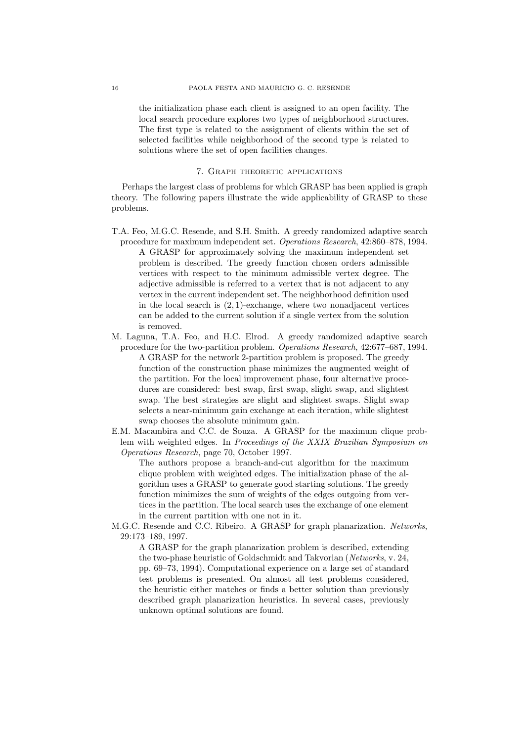the initialization phase each client is assigned to an open facility. The local search procedure explores two types of neighborhood structures. The first type is related to the assignment of clients within the set of selected facilities while neighborhood of the second type is related to solutions where the set of open facilities changes.

## 7. Graph theoretic applications

Perhaps the largest class of problems for which GRASP has been applied is graph theory. The following papers illustrate the wide applicability of GRASP to these problems.

- T.A. Feo, M.G.C. Resende, and S.H. Smith. A greedy randomized adaptive search procedure for maximum independent set. Operations Research, 42:860–878, 1994. A GRASP for approximately solving the maximum independent set problem is described. The greedy function chosen orders admissible vertices with respect to the minimum admissible vertex degree. The adjective admissible is referred to a vertex that is not adjacent to any vertex in the current independent set. The neighborhood definition used in the local search is (2, 1)-exchange, where two nonadjacent vertices can be added to the current solution if a single vertex from the solution is removed.
- M. Laguna, T.A. Feo, and H.C. Elrod. A greedy randomized adaptive search procedure for the two-partition problem. Operations Research, 42:677–687, 1994. A GRASP for the network 2-partition problem is proposed. The greedy function of the construction phase minimizes the augmented weight of the partition. For the local improvement phase, four alternative procedures are considered: best swap, first swap, slight swap, and slightest swap. The best strategies are slight and slightest swaps. Slight swap selects a near-minimum gain exchange at each iteration, while slightest swap chooses the absolute minimum gain.
- E.M. Macambira and C.C. de Souza. A GRASP for the maximum clique problem with weighted edges. In Proceedings of the XXIX Brazilian Symposium on Operations Research, page 70, October 1997.

The authors propose a branch-and-cut algorithm for the maximum clique problem with weighted edges. The initialization phase of the algorithm uses a GRASP to generate good starting solutions. The greedy function minimizes the sum of weights of the edges outgoing from vertices in the partition. The local search uses the exchange of one element in the current partition with one not in it.

M.G.C. Resende and C.C. Ribeiro. A GRASP for graph planarization. Networks, 29:173–189, 1997.

A GRASP for the graph planarization problem is described, extending the two-phase heuristic of Goldschmidt and Takvorian (Networks, v. 24, pp. 69–73, 1994). Computational experience on a large set of standard test problems is presented. On almost all test problems considered, the heuristic either matches or finds a better solution than previously described graph planarization heuristics. In several cases, previously unknown optimal solutions are found.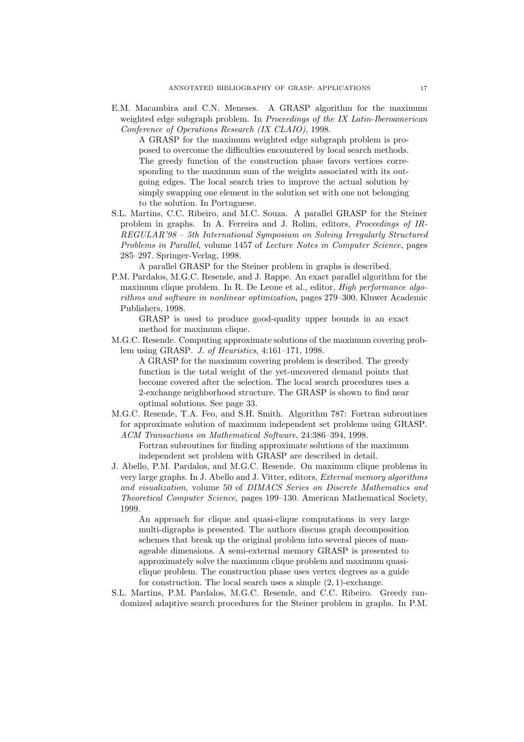E.M. Macambira and C.N. Meneses. A GRASP algorithm for the maximum weighted edge subgraph problem. In *Proceedings of the IX Latin-Iberoamerican* Conference of Operations Research (IX CLAIO), 1998.

A GRASP for the maximum weighted edge subgraph problem is proposed to overcome the difficulties encountered by local search methods. The greedy function of the construction phase favors vertices corresponding to the maximum sum of the weights associated with its outgoing edges. The local search tries to improve the actual solution by simply swapping one element in the solution set with one not belonging to the solution. In Portuguese.

S.L. Martins, C.C. Ribeiro, and M.C. Souza. A parallel GRASP for the Steiner problem in graphs. In A. Ferreira and J. Rolim, editors, Proceedings of IR-REGULAR'98 – 5th International Symposium on Solving Irregularly Structured Problems in Parallel, volume 1457 of Lecture Notes in Computer Science, pages 285–297. Springer-Verlag, 1998.

A parallel GRASP for the Steiner problem in graphs is described.

P.M. Pardalos, M.G.C. Resende, and J. Rappe. An exact parallel algorithm for the maximum clique problem. In R. De Leone et al., editor, High performance algorithms and software in nonlinear optimization, pages 279–300. Kluwer Academic Publishers, 1998.

GRASP is used to produce good-quality upper bounds in an exact method for maximum clique.

M.G.C. Resende. Computing approximate solutions of the maximum covering problem using GRASP. J. of Heuristics, 4:161–171, 1998.

A GRASP for the maximum covering problem is described. The greedy function is the total weight of the yet-uncovered demand points that become covered after the selection. The local search procedures uses a 2-exchange neighborhood structure. The GRASP is shown to find near optimal solutions. See page 33.

M.G.C. Resende, T.A. Feo, and S.H. Smith. Algorithm 787: Fortran subroutines for approximate solution of maximum independent set problems using GRASP. ACM Transactions on Mathematical Software, 24:386–394, 1998.

Fortran subroutines for finding approximate solutions of the maximum independent set problem with GRASP are described in detail.

J. Abello, P.M. Pardalos, and M.G.C. Resende. On maximum clique problems in very large graphs. In J. Abello and J. Vitter, editors, External memory algorithms and visualization, volume 50 of DIMACS Series on Discrete Mathematics and Theoretical Computer Science, pages 199–130. American Mathematical Society, 1999.

An approach for clique and quasi-clique computations in very large multi-digraphs is presented. The authors discuss graph decomposition schemes that break up the original problem into several pieces of manageable dimensions. A semi-external memory GRASP is presented to approximately solve the maximum clique problem and maximum quasiclique problem. The construction phase uses vertex degrees as a guide for construction. The local search uses a simple  $(2, 1)$ -exchange.

S.L. Martins, P.M. Pardalos, M.G.C. Resende, and C.C. Ribeiro. Greedy randomized adaptive search procedures for the Steiner problem in graphs. In P.M.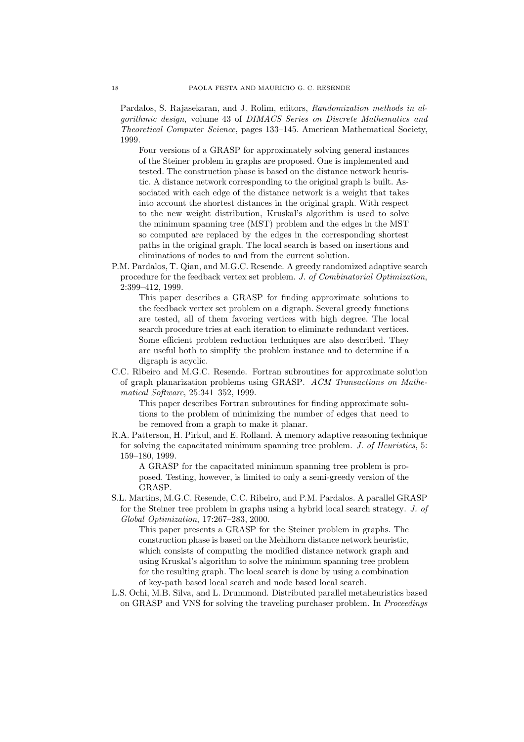Pardalos, S. Rajasekaran, and J. Rolim, editors, Randomization methods in algorithmic design, volume 43 of DIMACS Series on Discrete Mathematics and Theoretical Computer Science, pages 133–145. American Mathematical Society, 1999.

Four versions of a GRASP for approximately solving general instances of the Steiner problem in graphs are proposed. One is implemented and tested. The construction phase is based on the distance network heuristic. A distance network corresponding to the original graph is built. Associated with each edge of the distance network is a weight that takes into account the shortest distances in the original graph. With respect to the new weight distribution, Kruskal's algorithm is used to solve the minimum spanning tree (MST) problem and the edges in the MST so computed are replaced by the edges in the corresponding shortest paths in the original graph. The local search is based on insertions and eliminations of nodes to and from the current solution.

P.M. Pardalos, T. Qian, and M.G.C. Resende. A greedy randomized adaptive search procedure for the feedback vertex set problem. J. of Combinatorial Optimization, 2:399–412, 1999.

This paper describes a GRASP for finding approximate solutions to the feedback vertex set problem on a digraph. Several greedy functions are tested, all of them favoring vertices with high degree. The local search procedure tries at each iteration to eliminate redundant vertices. Some efficient problem reduction techniques are also described. They are useful both to simplify the problem instance and to determine if a digraph is acyclic.

C.C. Ribeiro and M.G.C. Resende. Fortran subroutines for approximate solution of graph planarization problems using GRASP. ACM Transactions on Mathematical Software, 25:341–352, 1999.

This paper describes Fortran subroutines for finding approximate solutions to the problem of minimizing the number of edges that need to be removed from a graph to make it planar.

R.A. Patterson, H. Pirkul, and E. Rolland. A memory adaptive reasoning technique for solving the capacitated minimum spanning tree problem. J. of Heuristics, 5: 159–180, 1999.

A GRASP for the capacitated minimum spanning tree problem is proposed. Testing, however, is limited to only a semi-greedy version of the GRASP.

S.L. Martins, M.G.C. Resende, C.C. Ribeiro, and P.M. Pardalos. A parallel GRASP for the Steiner tree problem in graphs using a hybrid local search strategy. J. of Global Optimization, 17:267–283, 2000.

This paper presents a GRASP for the Steiner problem in graphs. The construction phase is based on the Mehlhorn distance network heuristic, which consists of computing the modified distance network graph and using Kruskal's algorithm to solve the minimum spanning tree problem for the resulting graph. The local search is done by using a combination of key-path based local search and node based local search.

L.S. Ochi, M.B. Silva, and L. Drummond. Distributed parallel metaheuristics based on GRASP and VNS for solving the traveling purchaser problem. In Proceedings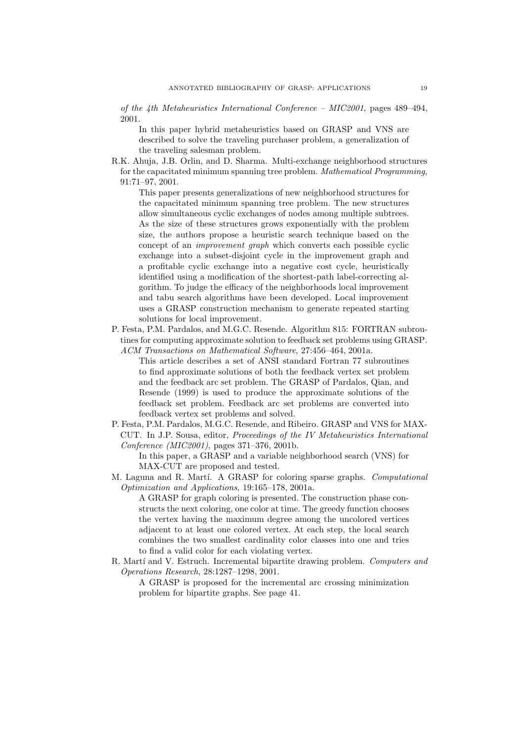of the 4th Metaheuristics International Conference – MIC2001, pages 489–494, 2001.

In this paper hybrid metaheuristics based on GRASP and VNS are described to solve the traveling purchaser problem, a generalization of the traveling salesman problem.

R.K. Ahuja, J.B. Orlin, and D. Sharma. Multi-exchange neighborhood structures for the capacitated minimum spanning tree problem. Mathematical Programming, 91:71–97, 2001.

This paper presents generalizations of new neighborhood structures for the capacitated minimum spanning tree problem. The new structures allow simultaneous cyclic exchanges of nodes among multiple subtrees. As the size of these structures grows exponentially with the problem size, the authors propose a heuristic search technique based on the concept of an improvement graph which converts each possible cyclic exchange into a subset-disjoint cycle in the improvement graph and a profitable cyclic exchange into a negative cost cycle, heuristically identified using a modification of the shortest-path label-correcting algorithm. To judge the efficacy of the neighborhoods local improvement and tabu search algorithms have been developed. Local improvement uses a GRASP construction mechanism to generate repeated starting solutions for local improvement.

P. Festa, P.M. Pardalos, and M.G.C. Resende. Algorithm 815: FORTRAN subroutines for computing approximate solution to feedback set problems using GRASP. ACM Transactions on Mathematical Software, 27:456–464, 2001a.

This article describes a set of ANSI standard Fortran 77 subroutines to find approximate solutions of both the feedback vertex set problem and the feedback arc set problem. The GRASP of Pardalos, Qian, and Resende (1999) is used to produce the approximate solutions of the feedback set problem. Feedback arc set problems are converted into feedback vertex set problems and solved.

P. Festa, P.M. Pardalos, M.G.C. Resende, and Ribeiro. GRASP and VNS for MAX-CUT. In J.P. Sousa, editor, Proceedings of the IV Metaheuristics International Conference (MIC2001), pages 371–376, 2001b.

In this paper, a GRASP and a variable neighborhood search (VNS) for MAX-CUT are proposed and tested.

M. Laguna and R. Martí. A GRASP for coloring sparse graphs. Computational Optimization and Applications, 19:165–178, 2001a.

A GRASP for graph coloring is presented. The construction phase constructs the next coloring, one color at time. The greedy function chooses the vertex having the maximum degree among the uncolored vertices adjacent to at least one colored vertex. At each step, the local search combines the two smallest cardinality color classes into one and tries to find a valid color for each violating vertex.

R. Martí and V. Estruch. Incremental bipartite drawing problem. Computers and Operations Research, 28:1287–1298, 2001.

A GRASP is proposed for the incremental arc crossing minimization problem for bipartite graphs. See page 41.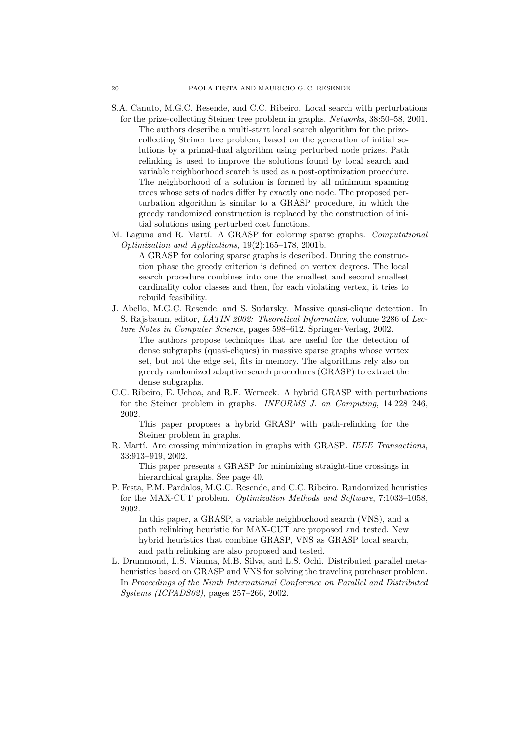- S.A. Canuto, M.G.C. Resende, and C.C. Ribeiro. Local search with perturbations for the prize-collecting Steiner tree problem in graphs. Networks, 38:50–58, 2001.
	- The authors describe a multi-start local search algorithm for the prizecollecting Steiner tree problem, based on the generation of initial solutions by a primal-dual algorithm using perturbed node prizes. Path relinking is used to improve the solutions found by local search and variable neighborhood search is used as a post-optimization procedure. The neighborhood of a solution is formed by all minimum spanning trees whose sets of nodes differ by exactly one node. The proposed perturbation algorithm is similar to a GRASP procedure, in which the greedy randomized construction is replaced by the construction of initial solutions using perturbed cost functions.
- M. Laguna and R. Martí. A GRASP for coloring sparse graphs. Computational Optimization and Applications, 19(2):165–178, 2001b.

A GRASP for coloring sparse graphs is described. During the construction phase the greedy criterion is defined on vertex degrees. The local search procedure combines into one the smallest and second smallest cardinality color classes and then, for each violating vertex, it tries to rebuild feasibility.

J. Abello, M.G.C. Resende, and S. Sudarsky. Massive quasi-clique detection. In S. Rajsbaum, editor, LATIN 2002: Theoretical Informatics, volume 2286 of Lecture Notes in Computer Science, pages 598–612. Springer-Verlag, 2002.

The authors propose techniques that are useful for the detection of dense subgraphs (quasi-cliques) in massive sparse graphs whose vertex set, but not the edge set, fits in memory. The algorithms rely also on greedy randomized adaptive search procedures (GRASP) to extract the dense subgraphs.

C.C. Ribeiro, E. Uchoa, and R.F. Werneck. A hybrid GRASP with perturbations for the Steiner problem in graphs. INFORMS J. on Computing, 14:228–246, 2002.

This paper proposes a hybrid GRASP with path-relinking for the Steiner problem in graphs.

R. Martí. Arc crossing minimization in graphs with GRASP. IEEE Transactions, 33:913–919, 2002.

This paper presents a GRASP for minimizing straight-line crossings in hierarchical graphs. See page 40.

P. Festa, P.M. Pardalos, M.G.C. Resende, and C.C. Ribeiro. Randomized heuristics for the MAX-CUT problem. Optimization Methods and Software, 7:1033–1058, 2002.

In this paper, a GRASP, a variable neighborhood search (VNS), and a path relinking heuristic for MAX-CUT are proposed and tested. New hybrid heuristics that combine GRASP, VNS as GRASP local search, and path relinking are also proposed and tested.

L. Drummond, L.S. Vianna, M.B. Silva, and L.S. Ochi. Distributed parallel metaheuristics based on GRASP and VNS for solving the traveling purchaser problem. In Proceedings of the Ninth International Conference on Parallel and Distributed Systems (ICPADS02), pages 257–266, 2002.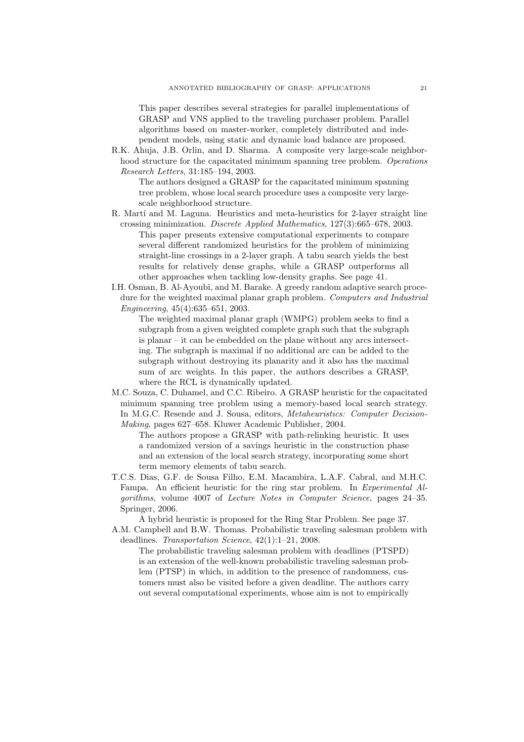This paper describes several strategies for parallel implementations of GRASP and VNS applied to the traveling purchaser problem. Parallel algorithms based on master-worker, completely distributed and independent models, using static and dynamic load balance are proposed.

R.K. Ahuja, J.B. Orlin, and D. Sharma. A composite very large-scale neighborhood structure for the capacitated minimum spanning tree problem. Operations Research Letters, 31:185–194, 2003.

The authors designed a GRASP for the capacitated minimum spanning tree problem, whose local search procedure uses a composite very largescale neighborhood structure.

- R. Martí and M. Laguna. Heuristics and meta-heuristics for 2-layer straight line crossing minimization. Discrete Applied Mathematics, 127(3):665–678, 2003. This paper presents extensive computational experiments to compare several different randomized heuristics for the problem of minimizing straight-line crossings in a 2-layer graph. A tabu search yields the best results for relatively dense graphs, while a GRASP outperforms all other approaches when tackling low-density graphs. See page 41.
- I.H. Osman, B. Al-Ayoubi, and M. Barake. A greedy random adaptive search procedure for the weighted maximal planar graph problem. Computers and Industrial Engineering, 45(4):635–651, 2003.

The weighted maximal planar graph (WMPG) problem seeks to find a subgraph from a given weighted complete graph such that the subgraph is planar – it can be embedded on the plane without any arcs intersecting. The subgraph is maximal if no additional arc can be added to the subgraph without destroying its planarity and it also has the maximal sum of arc weights. In this paper, the authors describes a GRASP, where the RCL is dynamically updated.

M.C. Souza, C. Duhamel, and C.C. Ribeiro. A GRASP heuristic for the capacitated minimum spanning tree problem using a memory-based local search strategy. In M.G.C. Resende and J. Sousa, editors, *Metaheuristics: Computer Decision*-Making, pages 627–658. Kluwer Academic Publisher, 2004.

The authors propose a GRASP with path-relinking heuristic. It uses a randomized version of a savings heuristic in the construction phase and an extension of the local search strategy, incorporating some short term memory elements of tabu search.

T.C.S. Dias, G.F. de Sousa Filho, E.M. Macambira, L.A.F. Cabral, and M.H.C. Fampa. An efficient heuristic for the ring star problem. In Experimental Algorithms, volume 4007 of Lecture Notes in Computer Science, pages 24–35. Springer, 2006.

A hybrid heuristic is proposed for the Ring Star Problem. See page 37.

A.M. Campbell and B.W. Thomas. Probabilistic traveling salesman problem with deadlines. Transportation Science, 42(1):1–21, 2008.

The probabilistic traveling salesman problem with deadlines (PTSPD) is an extension of the well-known probabilistic traveling salesman problem (PTSP) in which, in addition to the presence of randomness, customers must also be visited before a given deadline. The authors carry out several computational experiments, whose aim is not to empirically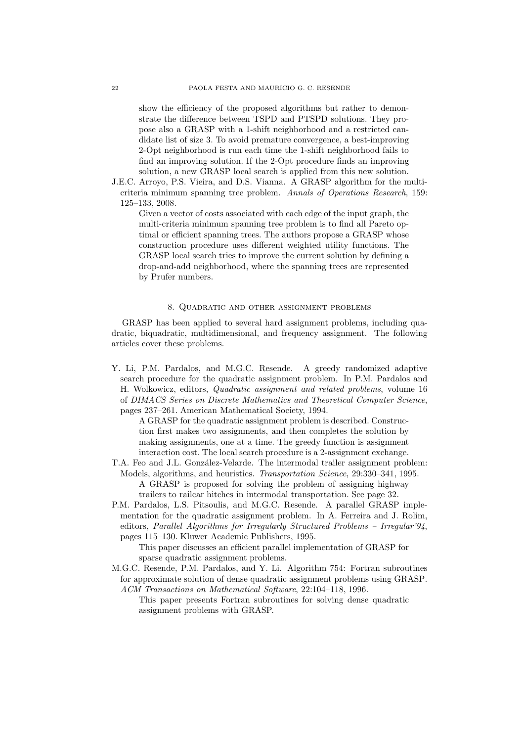show the efficiency of the proposed algorithms but rather to demonstrate the difference between TSPD and PTSPD solutions. They propose also a GRASP with a 1-shift neighborhood and a restricted candidate list of size 3. To avoid premature convergence, a best-improving 2-Opt neighborhood is run each time the 1-shift neighborhood fails to find an improving solution. If the 2-Opt procedure finds an improving solution, a new GRASP local search is applied from this new solution.

J.E.C. Arroyo, P.S. Vieira, and D.S. Vianna. A GRASP algorithm for the multicriteria minimum spanning tree problem. Annals of Operations Research, 159: 125–133, 2008.

Given a vector of costs associated with each edge of the input graph, the multi-criteria minimum spanning tree problem is to find all Pareto optimal or efficient spanning trees. The authors propose a GRASP whose construction procedure uses different weighted utility functions. The GRASP local search tries to improve the current solution by defining a drop-and-add neighborhood, where the spanning trees are represented by Prufer numbers.

### 8. Quadratic and other assignment problems

GRASP has been applied to several hard assignment problems, including quadratic, biquadratic, multidimensional, and frequency assignment. The following articles cover these problems.

Y. Li, P.M. Pardalos, and M.G.C. Resende. A greedy randomized adaptive search procedure for the quadratic assignment problem. In P.M. Pardalos and H. Wolkowicz, editors, Quadratic assignment and related problems, volume 16 of DIMACS Series on Discrete Mathematics and Theoretical Computer Science, pages 237–261. American Mathematical Society, 1994.

A GRASP for the quadratic assignment problem is described. Construction first makes two assignments, and then completes the solution by making assignments, one at a time. The greedy function is assignment interaction cost. The local search procedure is a 2-assignment exchange.

- T.A. Feo and J.L. González-Velarde. The intermodal trailer assignment problem: Models, algorithms, and heuristics. Transportation Science, 29:330–341, 1995. A GRASP is proposed for solving the problem of assigning highway
- trailers to railcar hitches in intermodal transportation. See page 32. P.M. Pardalos, L.S. Pitsoulis, and M.G.C. Resende. A parallel GRASP implementation for the quadratic assignment problem. In A. Ferreira and J. Rolim, editors, Parallel Algorithms for Irregularly Structured Problems – Irregular'94, pages 115–130. Kluwer Academic Publishers, 1995.

This paper discusses an efficient parallel implementation of GRASP for sparse quadratic assignment problems.

- M.G.C. Resende, P.M. Pardalos, and Y. Li. Algorithm 754: Fortran subroutines for approximate solution of dense quadratic assignment problems using GRASP. ACM Transactions on Mathematical Software, 22:104–118, 1996.
	- This paper presents Fortran subroutines for solving dense quadratic assignment problems with GRASP.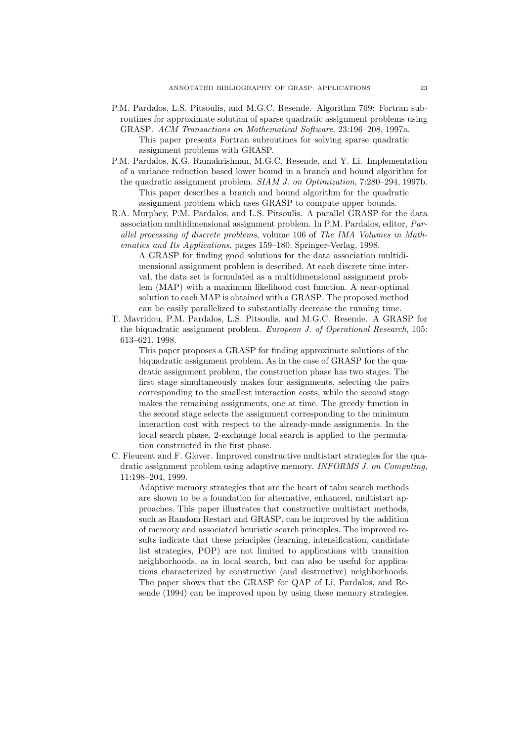- P.M. Pardalos, L.S. Pitsoulis, and M.G.C. Resende. Algorithm 769: Fortran subroutines for approximate solution of sparse quadratic assignment problems using GRASP. ACM Transactions on Mathematical Software, 23:196–208, 1997a.
	- This paper presents Fortran subroutines for solving sparse quadratic assignment problems with GRASP.
- P.M. Pardalos, K.G. Ramakrishnan, M.G.C. Resende, and Y. Li. Implementation of a variance reduction based lower bound in a branch and bound algorithm for the quadratic assignment problem. SIAM J. on Optimization, 7:280–294, 1997b. This paper describes a branch and bound algorithm for the quadratic assignment problem which uses GRASP to compute upper bounds.
- R.A. Murphey, P.M. Pardalos, and L.S. Pitsoulis. A parallel GRASP for the data association multidimensional assignment problem. In P.M. Pardalos, editor, Parallel processing of discrete problems, volume 106 of The IMA Volumes in Mathematics and Its Applications, pages 159–180. Springer-Verlag, 1998.

A GRASP for finding good solutions for the data association multidimensional assignment problem is described. At each discrete time interval, the data set is formulated as a multidimensional assignment problem (MAP) with a maximum likelihood cost function. A near-optimal solution to each MAP is obtained with a GRASP. The proposed method can be easily parallelized to substantially decrease the running time.

T. Mavridou, P.M. Pardalos, L.S. Pitsoulis, and M.G.C. Resende. A GRASP for the biquadratic assignment problem. European J. of Operational Research, 105: 613–621, 1998.

This paper proposes a GRASP for finding approximate solutions of the biquadratic assignment problem. As in the case of GRASP for the quadratic assignment problem, the construction phase has two stages. The first stage simultaneously makes four assignments, selecting the pairs corresponding to the smallest interaction costs, while the second stage makes the remaining assignments, one at time. The greedy function in the second stage selects the assignment corresponding to the minimum interaction cost with respect to the already-made assignments. In the local search phase, 2-exchange local search is applied to the permutation constructed in the first phase.

C. Fleurent and F. Glover. Improved constructive multistart strategies for the quadratic assignment problem using adaptive memory. INFORMS J. on Computing, 11:198–204, 1999.

Adaptive memory strategies that are the heart of tabu search methods are shown to be a foundation for alternative, enhanced, multistart approaches. This paper illustrates that constructive multistart methods, such as Random Restart and GRASP, can be improved by the addition of memory and associated heuristic search principles. The improved results indicate that these principles (learning, intensification, candidate list strategies, POP) are not limited to applications with transition neighborhoods, as in local search, but can also be useful for applications characterized by constructive (and destructive) neighborhoods. The paper shows that the GRASP for QAP of Li, Pardalos, and Resende (1994) can be improved upon by using these memory strategies.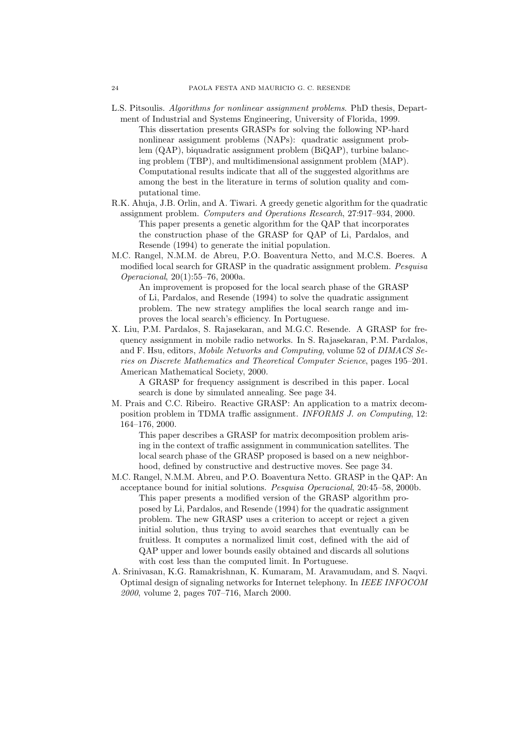- L.S. Pitsoulis. Algorithms for nonlinear assignment problems. PhD thesis, Department of Industrial and Systems Engineering, University of Florida, 1999.
	- This dissertation presents GRASPs for solving the following NP-hard nonlinear assignment problems (NAPs): quadratic assignment problem (QAP), biquadratic assignment problem (BiQAP), turbine balancing problem (TBP), and multidimensional assignment problem (MAP). Computational results indicate that all of the suggested algorithms are among the best in the literature in terms of solution quality and computational time.
- R.K. Ahuja, J.B. Orlin, and A. Tiwari. A greedy genetic algorithm for the quadratic assignment problem. Computers and Operations Research, 27:917–934, 2000. This paper presents a genetic algorithm for the QAP that incorporates the construction phase of the GRASP for QAP of Li, Pardalos, and Resende (1994) to generate the initial population.
- M.C. Rangel, N.M.M. de Abreu, P.O. Boaventura Netto, and M.C.S. Boeres. A modified local search for GRASP in the quadratic assignment problem. *Pesquisa* Operacional, 20(1):55–76, 2000a.
	- An improvement is proposed for the local search phase of the GRASP of Li, Pardalos, and Resende (1994) to solve the quadratic assignment problem. The new strategy amplifies the local search range and improves the local search's efficiency. In Portuguese.
- X. Liu, P.M. Pardalos, S. Rajasekaran, and M.G.C. Resende. A GRASP for frequency assignment in mobile radio networks. In S. Rajasekaran, P.M. Pardalos, and F. Hsu, editors, Mobile Networks and Computing, volume 52 of DIMACS Series on Discrete Mathematics and Theoretical Computer Science, pages 195–201. American Mathematical Society, 2000.

A GRASP for frequency assignment is described in this paper. Local search is done by simulated annealing. See page 34.

M. Prais and C.C. Ribeiro. Reactive GRASP: An application to a matrix decomposition problem in TDMA traffic assignment. INFORMS J. on Computing, 12: 164–176, 2000.

This paper describes a GRASP for matrix decomposition problem arising in the context of traffic assignment in communication satellites. The local search phase of the GRASP proposed is based on a new neighborhood, defined by constructive and destructive moves. See page 34.

- M.C. Rangel, N.M.M. Abreu, and P.O. Boaventura Netto. GRASP in the QAP: An acceptance bound for initial solutions. Pesquisa Operacional, 20:45–58, 2000b.
	- This paper presents a modified version of the GRASP algorithm proposed by Li, Pardalos, and Resende (1994) for the quadratic assignment problem. The new GRASP uses a criterion to accept or reject a given initial solution, thus trying to avoid searches that eventually can be fruitless. It computes a normalized limit cost, defined with the aid of QAP upper and lower bounds easily obtained and discards all solutions with cost less than the computed limit. In Portuguese.
- A. Srinivasan, K.G. Ramakrishnan, K. Kumaram, M. Aravamudam, and S. Naqvi. Optimal design of signaling networks for Internet telephony. In IEEE INFOCOM 2000, volume 2, pages 707–716, March 2000.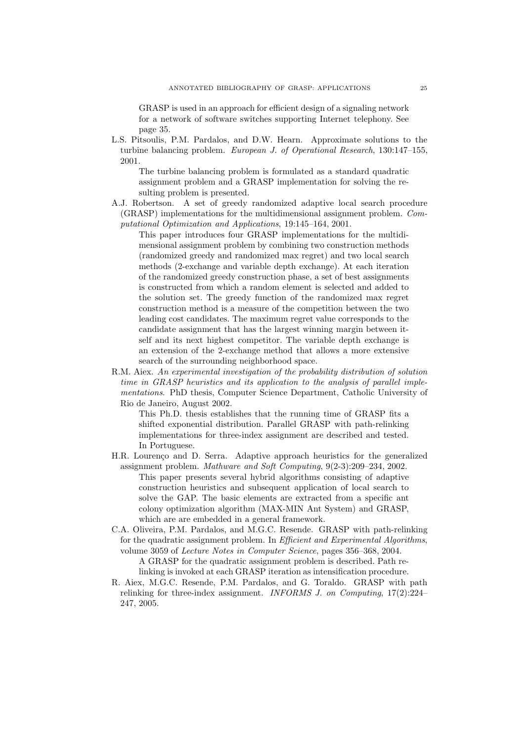GRASP is used in an approach for efficient design of a signaling network for a network of software switches supporting Internet telephony. See page 35.

L.S. Pitsoulis, P.M. Pardalos, and D.W. Hearn. Approximate solutions to the turbine balancing problem. European J. of Operational Research, 130:147–155, 2001.

The turbine balancing problem is formulated as a standard quadratic assignment problem and a GRASP implementation for solving the resulting problem is presented.

A.J. Robertson. A set of greedy randomized adaptive local search procedure (GRASP) implementations for the multidimensional assignment problem. Computational Optimization and Applications, 19:145–164, 2001.

This paper introduces four GRASP implementations for the multidimensional assignment problem by combining two construction methods (randomized greedy and randomized max regret) and two local search methods (2-exchange and variable depth exchange). At each iteration of the randomized greedy construction phase, a set of best assignments is constructed from which a random element is selected and added to the solution set. The greedy function of the randomized max regret construction method is a measure of the competition between the two leading cost candidates. The maximum regret value corresponds to the candidate assignment that has the largest winning margin between itself and its next highest competitor. The variable depth exchange is an extension of the 2-exchange method that allows a more extensive search of the surrounding neighborhood space.

R.M. Aiex. An experimental investigation of the probability distribution of solution time in GRASP heuristics and its application to the analysis of parallel implementations. PhD thesis, Computer Science Department, Catholic University of Rio de Janeiro, August 2002.

This Ph.D. thesis establishes that the running time of GRASP fits a shifted exponential distribution. Parallel GRASP with path-relinking implementations for three-index assignment are described and tested. In Portuguese.

- H.R. Lourenço and D. Serra. Adaptive approach heuristics for the generalized assignment problem. Mathware and Soft Computing, 9(2-3):209–234, 2002. This paper presents several hybrid algorithms consisting of adaptive construction heuristics and subsequent application of local search to solve the GAP. The basic elements are extracted from a specific ant colony optimization algorithm (MAX-MIN Ant System) and GRASP, which are are embedded in a general framework.
- C.A. Oliveira, P.M. Pardalos, and M.G.C. Resende. GRASP with path-relinking for the quadratic assignment problem. In *Efficient and Experimental Algorithms*, volume 3059 of Lecture Notes in Computer Science, pages 356–368, 2004.

A GRASP for the quadratic assignment problem is described. Path relinking is invoked at each GRASP iteration as intensification procedure.

R. Aiex, M.G.C. Resende, P.M. Pardalos, and G. Toraldo. GRASP with path relinking for three-index assignment. INFORMS J. on Computing, 17(2):224– 247, 2005.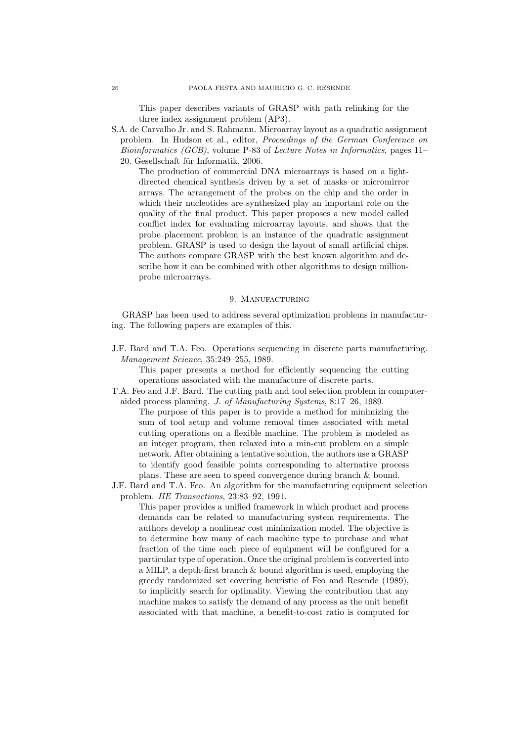This paper describes variants of GRASP with path relinking for the three index assignment problem (AP3).

S.A. de Carvalho Jr. and S. Rahmann. Microarray layout as a quadratic assignment problem. In Hudson et al., editor, Proceedings of the German Conference on Bioinformatics (GCB), volume P-83 of Lecture Notes in Informatics, pages 11– 20. Gesellschaft für Informatik, 2006.

The production of commercial DNA microarrays is based on a lightdirected chemical synthesis driven by a set of masks or micromirror arrays. The arrangement of the probes on the chip and the order in which their nucleotides are synthesized play an important role on the quality of the final product. This paper proposes a new model called conflict index for evaluating microarray layouts, and shows that the probe placement problem is an instance of the quadratic assignment problem. GRASP is used to design the layout of small artificial chips. The authors compare GRASP with the best known algorithm and describe how it can be combined with other algorithms to design millionprobe microarrays.

### 9. MANUFACTURING

GRASP has been used to address several optimization problems in manufacturing. The following papers are examples of this.

J.F. Bard and T.A. Feo. Operations sequencing in discrete parts manufacturing. Management Science, 35:249–255, 1989.

This paper presents a method for efficiently sequencing the cutting operations associated with the manufacture of discrete parts.

T.A. Feo and J.F. Bard. The cutting path and tool selection problem in computeraided process planning. J. of Manufacturing Systems, 8:17–26, 1989.

The purpose of this paper is to provide a method for minimizing the sum of tool setup and volume removal times associated with metal cutting operations on a flexible machine. The problem is modeled as an integer program, then relaxed into a min-cut problem on a simple network. After obtaining a tentative solution, the authors use a GRASP to identify good feasible points corresponding to alternative process plans. These are seen to speed convergence during branch & bound.

J.F. Bard and T.A. Feo. An algorithm for the manufacturing equipment selection problem. IIE Transactions, 23:83–92, 1991.

This paper provides a unified framework in which product and process demands can be related to manufacturing system requirements. The authors develop a nonlinear cost minimization model. The objective is to determine how many of each machine type to purchase and what fraction of the time each piece of equipment will be configured for a particular type of operation. Once the original problem is converted into a MILP, a depth-first branch & bound algorithm is used, employing the greedy randomized set covering heuristic of Feo and Resende (1989), to implicitly search for optimality. Viewing the contribution that any machine makes to satisfy the demand of any process as the unit benefit associated with that machine, a benefit-to-cost ratio is computed for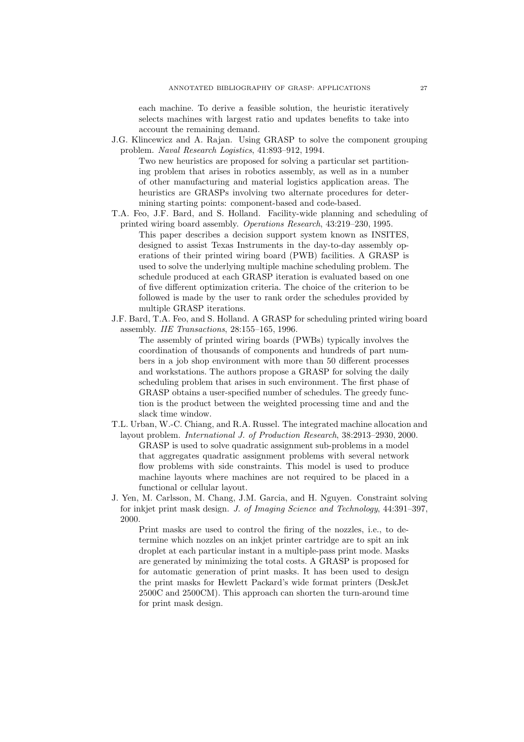each machine. To derive a feasible solution, the heuristic iteratively selects machines with largest ratio and updates benefits to take into account the remaining demand.

J.G. Klincewicz and A. Rajan. Using GRASP to solve the component grouping problem. Naval Research Logistics, 41:893–912, 1994.

Two new heuristics are proposed for solving a particular set partitioning problem that arises in robotics assembly, as well as in a number of other manufacturing and material logistics application areas. The heuristics are GRASPs involving two alternate procedures for determining starting points: component-based and code-based.

T.A. Feo, J.F. Bard, and S. Holland. Facility-wide planning and scheduling of printed wiring board assembly. Operations Research, 43:219–230, 1995.

This paper describes a decision support system known as INSITES, designed to assist Texas Instruments in the day-to-day assembly operations of their printed wiring board (PWB) facilities. A GRASP is used to solve the underlying multiple machine scheduling problem. The schedule produced at each GRASP iteration is evaluated based on one of five different optimization criteria. The choice of the criterion to be followed is made by the user to rank order the schedules provided by multiple GRASP iterations.

J.F. Bard, T.A. Feo, and S. Holland. A GRASP for scheduling printed wiring board assembly. IIE Transactions, 28:155–165, 1996.

The assembly of printed wiring boards (PWBs) typically involves the coordination of thousands of components and hundreds of part numbers in a job shop environment with more than 50 different processes and workstations. The authors propose a GRASP for solving the daily scheduling problem that arises in such environment. The first phase of GRASP obtains a user-specified number of schedules. The greedy function is the product between the weighted processing time and and the slack time window.

- T.L. Urban, W.-C. Chiang, and R.A. Russel. The integrated machine allocation and layout problem. International J. of Production Research, 38:2913–2930, 2000.
	- GRASP is used to solve quadratic assignment sub-problems in a model that aggregates quadratic assignment problems with several network flow problems with side constraints. This model is used to produce machine layouts where machines are not required to be placed in a functional or cellular layout.
- J. Yen, M. Carlsson, M. Chang, J.M. Garcia, and H. Nguyen. Constraint solving for inkjet print mask design. J. of Imaging Science and Technology, 44:391–397, 2000.

Print masks are used to control the firing of the nozzles, i.e., to determine which nozzles on an inkjet printer cartridge are to spit an ink droplet at each particular instant in a multiple-pass print mode. Masks are generated by minimizing the total costs. A GRASP is proposed for for automatic generation of print masks. It has been used to design the print masks for Hewlett Packard's wide format printers (DeskJet 2500C and 2500CM). This approach can shorten the turn-around time for print mask design.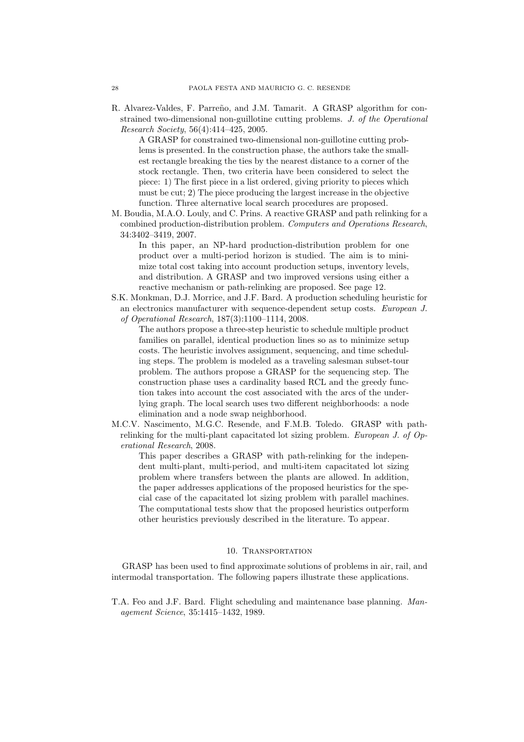R. Alvarez-Valdes, F. Parreño, and J.M. Tamarit. A GRASP algorithm for constrained two-dimensional non-guillotine cutting problems. J. of the Operational Research Society, 56(4):414–425, 2005.

A GRASP for constrained two-dimensional non-guillotine cutting problems is presented. In the construction phase, the authors take the smallest rectangle breaking the ties by the nearest distance to a corner of the stock rectangle. Then, two criteria have been considered to select the piece: 1) The first piece in a list ordered, giving priority to pieces which must be cut; 2) The piece producing the largest increase in the objective function. Three alternative local search procedures are proposed.

M. Boudia, M.A.O. Louly, and C. Prins. A reactive GRASP and path relinking for a combined production-distribution problem. Computers and Operations Research, 34:3402–3419, 2007.

In this paper, an NP-hard production-distribution problem for one product over a multi-period horizon is studied. The aim is to minimize total cost taking into account production setups, inventory levels, and distribution. A GRASP and two improved versions using either a reactive mechanism or path-relinking are proposed. See page 12.

S.K. Monkman, D.J. Morrice, and J.F. Bard. A production scheduling heuristic for an electronics manufacturer with sequence-dependent setup costs. European J. of Operational Research, 187(3):1100–1114, 2008.

The authors propose a three-step heuristic to schedule multiple product families on parallel, identical production lines so as to minimize setup costs. The heuristic involves assignment, sequencing, and time scheduling steps. The problem is modeled as a traveling salesman subset-tour problem. The authors propose a GRASP for the sequencing step. The construction phase uses a cardinality based RCL and the greedy function takes into account the cost associated with the arcs of the underlying graph. The local search uses two different neighborhoods: a node elimination and a node swap neighborhood.

M.C.V. Nascimento, M.G.C. Resende, and F.M.B. Toledo. GRASP with pathrelinking for the multi-plant capacitated lot sizing problem. European J. of Operational Research, 2008.

This paper describes a GRASP with path-relinking for the independent multi-plant, multi-period, and multi-item capacitated lot sizing problem where transfers between the plants are allowed. In addition, the paper addresses applications of the proposed heuristics for the special case of the capacitated lot sizing problem with parallel machines. The computational tests show that the proposed heuristics outperform other heuristics previously described in the literature. To appear.

#### 10. TRANSPORTATION

GRASP has been used to find approximate solutions of problems in air, rail, and intermodal transportation. The following papers illustrate these applications.

T.A. Feo and J.F. Bard. Flight scheduling and maintenance base planning. Management Science, 35:1415–1432, 1989.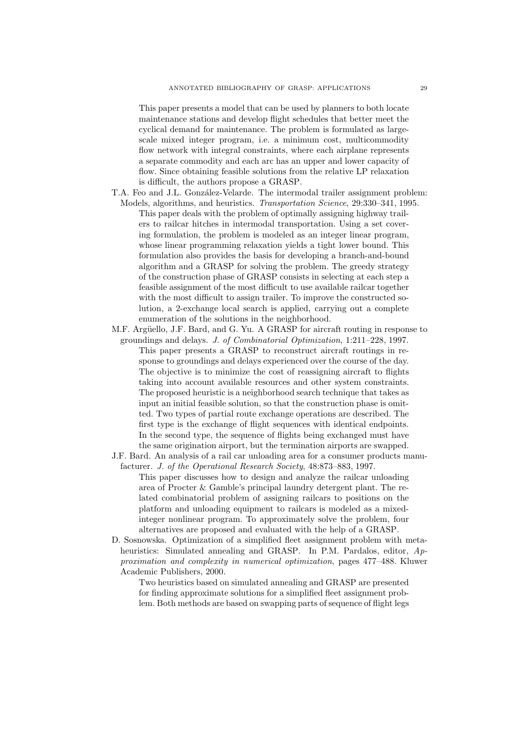This paper presents a model that can be used by planners to both locate maintenance stations and develop flight schedules that better meet the cyclical demand for maintenance. The problem is formulated as largescale mixed integer program, i.e. a minimum cost, multicommodity flow network with integral constraints, where each airplane represents a separate commodity and each arc has an upper and lower capacity of flow. Since obtaining feasible solutions from the relative LP relaxation is difficult, the authors propose a GRASP.

- T.A. Feo and J.L. González-Velarde. The intermodal trailer assignment problem: Models, algorithms, and heuristics. Transportation Science, 29:330–341, 1995.
	- This paper deals with the problem of optimally assigning highway trailers to railcar hitches in intermodal transportation. Using a set covering formulation, the problem is modeled as an integer linear program, whose linear programming relaxation yields a tight lower bound. This formulation also provides the basis for developing a branch-and-bound algorithm and a GRASP for solving the problem. The greedy strategy of the construction phase of GRASP consists in selecting at each step a feasible assignment of the most difficult to use available railcar together with the most difficult to assign trailer. To improve the constructed solution, a 2-exchange local search is applied, carrying out a complete enumeration of the solutions in the neighborhood.
- M.F. Argüello, J.F. Bard, and G. Yu. A GRASP for aircraft routing in response to groundings and delays. J. of Combinatorial Optimization, 1:211–228, 1997. This paper presents a GRASP to reconstruct aircraft routings in response to groundings and delays experienced over the course of the day. The objective is to minimize the cost of reassigning aircraft to flights taking into account available resources and other system constraints. The proposed heuristic is a neighborhood search technique that takes as input an initial feasible solution, so that the construction phase is omitted. Two types of partial route exchange operations are described. The first type is the exchange of flight sequences with identical endpoints. In the second type, the sequence of flights being exchanged must have the same origination airport, but the termination airports are swapped.
- J.F. Bard. An analysis of a rail car unloading area for a consumer products manufacturer. J. of the Operational Research Society, 48:873–883, 1997. This paper discusses how to design and analyze the railcar unloading area of Procter & Gamble's principal laundry detergent plant. The related combinatorial problem of assigning railcars to positions on the platform and unloading equipment to railcars is modeled as a mixedinteger nonlinear program. To approximately solve the problem, four alternatives are proposed and evaluated with the help of a GRASP.
- D. Sosnowska. Optimization of a simplified fleet assignment problem with metaheuristics: Simulated annealing and GRASP. In P.M. Pardalos, editor, Approximation and complexity in numerical optimization, pages 477–488. Kluwer Academic Publishers, 2000.

Two heuristics based on simulated annealing and GRASP are presented for finding approximate solutions for a simplified fleet assignment problem. Both methods are based on swapping parts of sequence of flight legs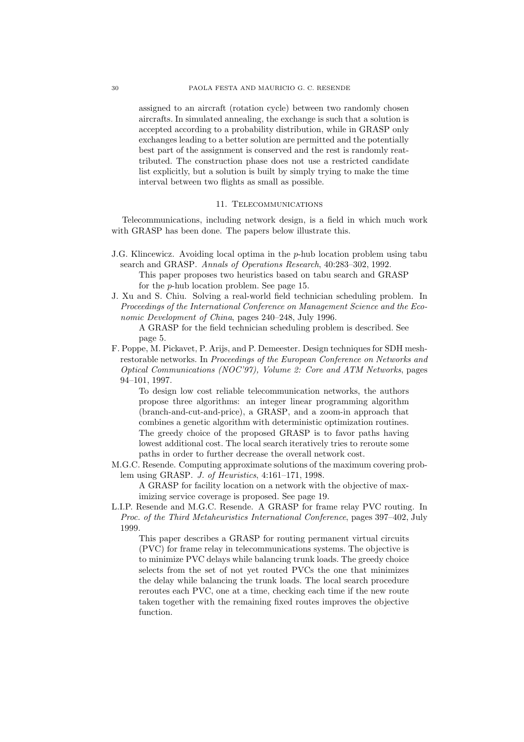assigned to an aircraft (rotation cycle) between two randomly chosen aircrafts. In simulated annealing, the exchange is such that a solution is accepted according to a probability distribution, while in GRASP only exchanges leading to a better solution are permitted and the potentially best part of the assignment is conserved and the rest is randomly reattributed. The construction phase does not use a restricted candidate list explicitly, but a solution is built by simply trying to make the time interval between two flights as small as possible.

#### 11. Telecommunications

Telecommunications, including network design, is a field in which much work with GRASP has been done. The papers below illustrate this.

J.G. Klincewicz. Avoiding local optima in the  $p$ -hub location problem using tabu search and GRASP. Annals of Operations Research, 40:283–302, 1992.

This paper proposes two heuristics based on tabu search and GRASP for the p-hub location problem. See page 15.

J. Xu and S. Chiu. Solving a real-world field technician scheduling problem. In Proceedings of the International Conference on Management Science and the Economic Development of China, pages 240–248, July 1996.

A GRASP for the field technician scheduling problem is described. See page 5.

F. Poppe, M. Pickavet, P. Arijs, and P. Demeester. Design techniques for SDH meshrestorable networks. In Proceedings of the European Conference on Networks and Optical Communications (NOC'97), Volume 2: Core and ATM Networks, pages 94–101, 1997.

To design low cost reliable telecommunication networks, the authors propose three algorithms: an integer linear programming algorithm (branch-and-cut-and-price), a GRASP, and a zoom-in approach that combines a genetic algorithm with deterministic optimization routines. The greedy choice of the proposed GRASP is to favor paths having lowest additional cost. The local search iteratively tries to reroute some paths in order to further decrease the overall network cost.

M.G.C. Resende. Computing approximate solutions of the maximum covering problem using GRASP. J. of Heuristics, 4:161–171, 1998.

A GRASP for facility location on a network with the objective of maximizing service coverage is proposed. See page 19.

L.I.P. Resende and M.G.C. Resende. A GRASP for frame relay PVC routing. In Proc. of the Third Metaheuristics International Conference, pages 397–402, July 1999.

This paper describes a GRASP for routing permanent virtual circuits (PVC) for frame relay in telecommunications systems. The objective is to minimize PVC delays while balancing trunk loads. The greedy choice selects from the set of not yet routed PVCs the one that minimizes the delay while balancing the trunk loads. The local search procedure reroutes each PVC, one at a time, checking each time if the new route taken together with the remaining fixed routes improves the objective function.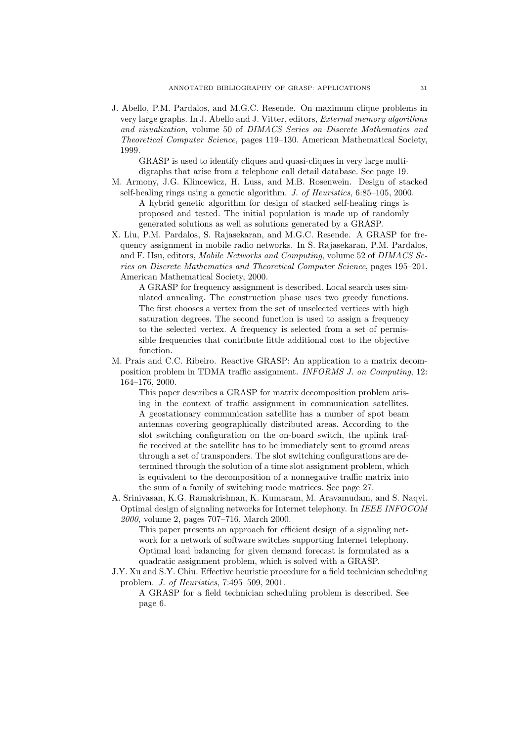J. Abello, P.M. Pardalos, and M.G.C. Resende. On maximum clique problems in very large graphs. In J. Abello and J. Vitter, editors, External memory algorithms and visualization, volume 50 of DIMACS Series on Discrete Mathematics and Theoretical Computer Science, pages 119–130. American Mathematical Society, 1999.

GRASP is used to identify cliques and quasi-cliques in very large multidigraphs that arise from a telephone call detail database. See page 19.

- M. Armony, J.G. Klincewicz, H. Luss, and M.B. Rosenwein. Design of stacked self-healing rings using a genetic algorithm. J. of Heuristics, 6:85–105, 2000. A hybrid genetic algorithm for design of stacked self-healing rings is proposed and tested. The initial population is made up of randomly generated solutions as well as solutions generated by a GRASP.
- X. Liu, P.M. Pardalos, S. Rajasekaran, and M.G.C. Resende. A GRASP for frequency assignment in mobile radio networks. In S. Rajasekaran, P.M. Pardalos, and F. Hsu, editors, Mobile Networks and Computing, volume 52 of DIMACS Series on Discrete Mathematics and Theoretical Computer Science, pages 195–201. American Mathematical Society, 2000.

A GRASP for frequency assignment is described. Local search uses simulated annealing. The construction phase uses two greedy functions. The first chooses a vertex from the set of unselected vertices with high saturation degrees. The second function is used to assign a frequency to the selected vertex. A frequency is selected from a set of permissible frequencies that contribute little additional cost to the objective function.

M. Prais and C.C. Ribeiro. Reactive GRASP: An application to a matrix decomposition problem in TDMA traffic assignment. INFORMS J. on Computing, 12: 164–176, 2000.

This paper describes a GRASP for matrix decomposition problem arising in the context of traffic assignment in communication satellites. A geostationary communication satellite has a number of spot beam antennas covering geographically distributed areas. According to the slot switching configuration on the on-board switch, the uplink traffic received at the satellite has to be immediately sent to ground areas through a set of transponders. The slot switching configurations are determined through the solution of a time slot assignment problem, which is equivalent to the decomposition of a nonnegative traffic matrix into the sum of a family of switching mode matrices. See page 27.

A. Srinivasan, K.G. Ramakrishnan, K. Kumaram, M. Aravamudam, and S. Naqvi. Optimal design of signaling networks for Internet telephony. In IEEE INFOCOM 2000, volume 2, pages 707–716, March 2000.

This paper presents an approach for efficient design of a signaling network for a network of software switches supporting Internet telephony. Optimal load balancing for given demand forecast is formulated as a quadratic assignment problem, which is solved with a GRASP.

J.Y. Xu and S.Y. Chiu. Effective heuristic procedure for a field technician scheduling problem. J. of Heuristics, 7:495–509, 2001.

A GRASP for a field technician scheduling problem is described. See page 6.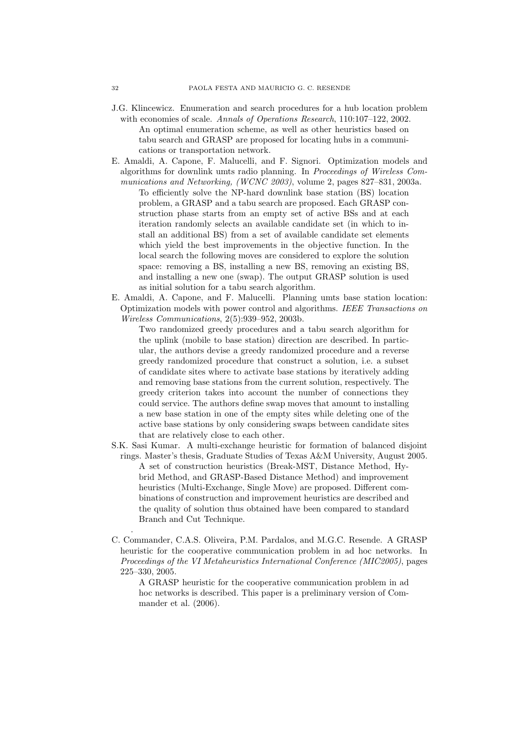- J.G. Klincewicz. Enumeration and search procedures for a hub location problem with economies of scale. Annals of Operations Research, 110:107-122, 2002. An optimal enumeration scheme, as well as other heuristics based on tabu search and GRASP are proposed for locating hubs in a communications or transportation network.
- E. Amaldi, A. Capone, F. Malucelli, and F. Signori. Optimization models and algorithms for downlink umts radio planning. In Proceedings of Wireless Communications and Networking, (WCNC 2003), volume 2, pages 827–831, 2003a.
	- To efficiently solve the NP-hard downlink base station (BS) location problem, a GRASP and a tabu search are proposed. Each GRASP construction phase starts from an empty set of active BSs and at each iteration randomly selects an available candidate set (in which to install an additional BS) from a set of available candidate set elements which yield the best improvements in the objective function. In the local search the following moves are considered to explore the solution space: removing a BS, installing a new BS, removing an existing BS, and installing a new one (swap). The output GRASP solution is used as initial solution for a tabu search algorithm.
- E. Amaldi, A. Capone, and F. Malucelli. Planning umts base station location: Optimization models with power control and algorithms. IEEE Transactions on Wireless Communications, 2(5):939–952, 2003b.

Two randomized greedy procedures and a tabu search algorithm for the uplink (mobile to base station) direction are described. In particular, the authors devise a greedy randomized procedure and a reverse greedy randomized procedure that construct a solution, i.e. a subset of candidate sites where to activate base stations by iteratively adding and removing base stations from the current solution, respectively. The greedy criterion takes into account the number of connections they could service. The authors define swap moves that amount to installing a new base station in one of the empty sites while deleting one of the active base stations by only considering swaps between candidate sites that are relatively close to each other.

- S.K. Sasi Kumar. A multi-exchange heuristic for formation of balanced disjoint rings. Master's thesis, Graduate Studies of Texas A&M University, August 2005. A set of construction heuristics (Break-MST, Distance Method, Hybrid Method, and GRASP-Based Distance Method) and improvement heuristics (Multi-Exchange, Single Move) are proposed. Different combinations of construction and improvement heuristics are described and the quality of solution thus obtained have been compared to standard Branch and Cut Technique.
- C. Commander, C.A.S. Oliveira, P.M. Pardalos, and M.G.C. Resende. A GRASP heuristic for the cooperative communication problem in ad hoc networks. In Proceedings of the VI Metaheuristics International Conference (MIC2005), pages 225–330, 2005.

A GRASP heuristic for the cooperative communication problem in ad hoc networks is described. This paper is a preliminary version of Commander et al. (2006).

.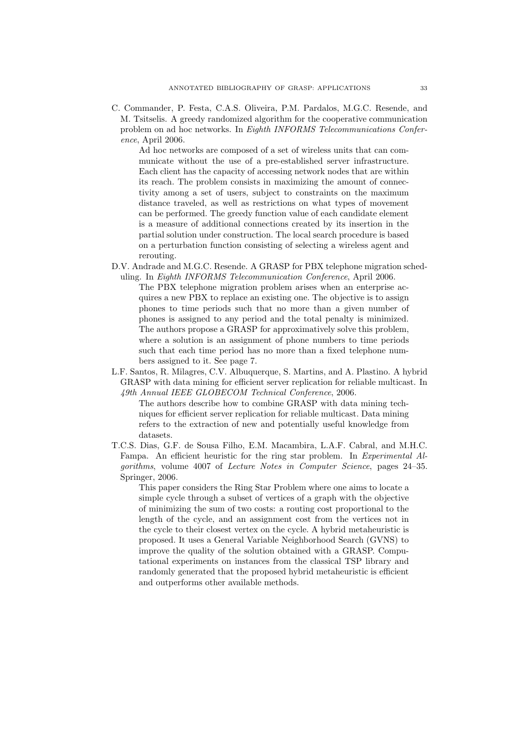C. Commander, P. Festa, C.A.S. Oliveira, P.M. Pardalos, M.G.C. Resende, and M. Tsitselis. A greedy randomized algorithm for the cooperative communication problem on ad hoc networks. In Eighth INFORMS Telecommunications Conference, April 2006.

Ad hoc networks are composed of a set of wireless units that can communicate without the use of a pre-established server infrastructure. Each client has the capacity of accessing network nodes that are within its reach. The problem consists in maximizing the amount of connectivity among a set of users, subject to constraints on the maximum distance traveled, as well as restrictions on what types of movement can be performed. The greedy function value of each candidate element is a measure of additional connections created by its insertion in the partial solution under construction. The local search procedure is based on a perturbation function consisting of selecting a wireless agent and rerouting.

- D.V. Andrade and M.G.C. Resende. A GRASP for PBX telephone migration scheduling. In Eighth INFORMS Telecommunication Conference, April 2006.
	- The PBX telephone migration problem arises when an enterprise acquires a new PBX to replace an existing one. The objective is to assign phones to time periods such that no more than a given number of phones is assigned to any period and the total penalty is minimized. The authors propose a GRASP for approximatively solve this problem, where a solution is an assignment of phone numbers to time periods such that each time period has no more than a fixed telephone numbers assigned to it. See page 7.
- L.F. Santos, R. Milagres, C.V. Albuquerque, S. Martins, and A. Plastino. A hybrid GRASP with data mining for efficient server replication for reliable multicast. In 49th Annual IEEE GLOBECOM Technical Conference, 2006.

The authors describe how to combine GRASP with data mining techniques for efficient server replication for reliable multicast. Data mining refers to the extraction of new and potentially useful knowledge from datasets.

T.C.S. Dias, G.F. de Sousa Filho, E.M. Macambira, L.A.F. Cabral, and M.H.C. Fampa. An efficient heuristic for the ring star problem. In Experimental Algorithms, volume 4007 of Lecture Notes in Computer Science, pages 24–35. Springer, 2006.

This paper considers the Ring Star Problem where one aims to locate a simple cycle through a subset of vertices of a graph with the objective of minimizing the sum of two costs: a routing cost proportional to the length of the cycle, and an assignment cost from the vertices not in the cycle to their closest vertex on the cycle. A hybrid metaheuristic is proposed. It uses a General Variable Neighborhood Search (GVNS) to improve the quality of the solution obtained with a GRASP. Computational experiments on instances from the classical TSP library and randomly generated that the proposed hybrid metaheuristic is efficient and outperforms other available methods.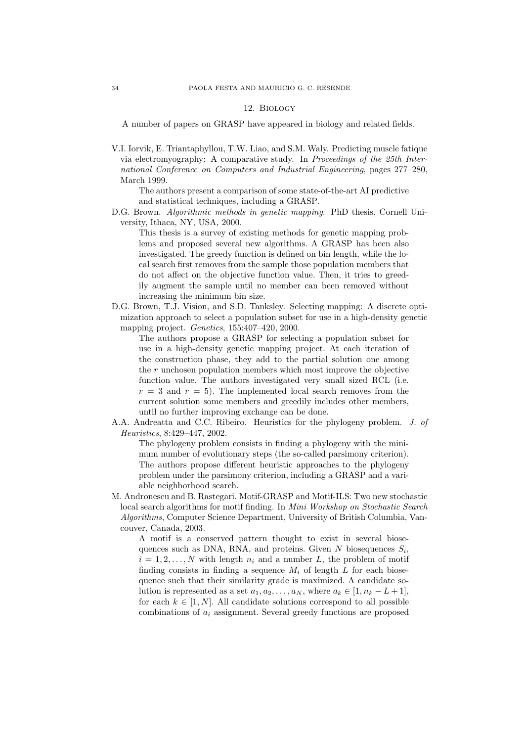## 12. Biology

A number of papers on GRASP have appeared in biology and related fields.

V.I. Iorvik, E. Triantaphyllou, T.W. Liao, and S.M. Waly. Predicting muscle fatique via electromyography: A comparative study. In Proceedings of the 25th International Conference on Computers and Industrial Engineering, pages 277–280, March 1999.

The authors present a comparison of some state-of-the-art AI predictive and statistical techniques, including a GRASP.

D.G. Brown. *Algorithmic methods in genetic mapping*. PhD thesis, Cornell University, Ithaca, NY, USA, 2000.

This thesis is a survey of existing methods for genetic mapping problems and proposed several new algorithms. A GRASP has been also investigated. The greedy function is defined on bin length, while the local search first removes from the sample those population members that do not affect on the objective function value. Then, it tries to greedily augment the sample until no member can been removed without increasing the minimum bin size.

D.G. Brown, T.J. Vision, and S.D. Tanksley. Selecting mapping: A discrete optimization approach to select a population subset for use in a high-density genetic mapping project. Genetics, 155:407–420, 2000.

The authors propose a GRASP for selecting a population subset for use in a high-density genetic mapping project. At each iteration of the construction phase, they add to the partial solution one among the  $r$  unchosen population members which most improve the objective function value. The authors investigated very small sized RCL (i.e.  $r = 3$  and  $r = 5$ ). The implemented local search removes from the current solution some members and greedily includes other members, until no further improving exchange can be done.

A.A. Andreatta and C.C. Ribeiro. Heuristics for the phylogeny problem. J. of Heuristics, 8:429–447, 2002.

The phylogeny problem consists in finding a phylogeny with the minimum number of evolutionary steps (the so-called parsimony criterion). The authors propose different heuristic approaches to the phylogeny problem under the parsimony criterion, including a GRASP and a variable neighborhood search.

M. Andronescu and B. Rastegari. Motif-GRASP and Motif-ILS: Two new stochastic local search algorithms for motif finding. In Mini Workshop on Stochastic Search Algorithms, Computer Science Department, University of British Columbia, Vancouver, Canada, 2003.

A motif is a conserved pattern thought to exist in several biosequences such as DNA, RNA, and proteins. Given  $N$  biosequences  $S_i$ ,  $i = 1, 2, \ldots, N$  with length  $n_i$  and a number L, the problem of motif finding consists in finding a sequence  $M_i$  of length L for each biosequence such that their similarity grade is maximized. A candidate solution is represented as a set  $a_1, a_2, \ldots, a_N$ , where  $a_k \in [1, n_k - L + 1]$ , for each  $k \in [1, N]$ . All candidate solutions correspond to all possible combinations of  $a_i$  assignment. Several greedy functions are proposed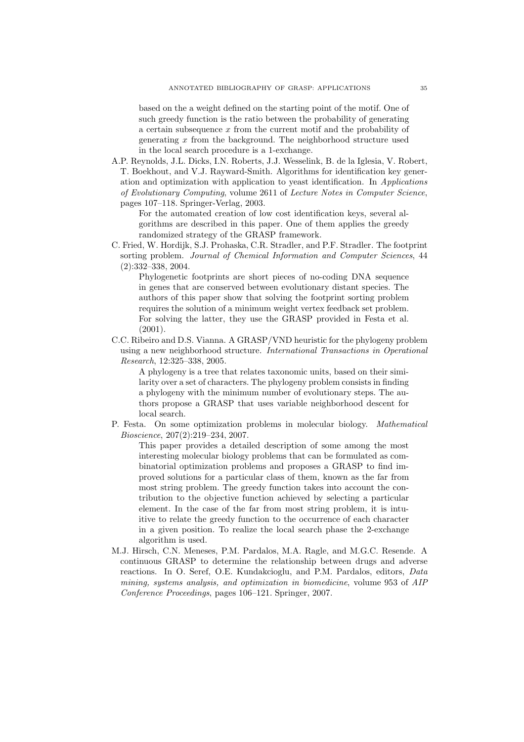based on the a weight defined on the starting point of the motif. One of such greedy function is the ratio between the probability of generating a certain subsequence  $x$  from the current motif and the probability of generating  $x$  from the background. The neighborhood structure used in the local search procedure is a 1-exchange.

A.P. Reynolds, J.L. Dicks, I.N. Roberts, J.J. Wesselink, B. de la Iglesia, V. Robert, T. Boekhout, and V.J. Rayward-Smith. Algorithms for identification key generation and optimization with application to yeast identification. In Applications of Evolutionary Computing, volume 2611 of Lecture Notes in Computer Science, pages 107–118. Springer-Verlag, 2003.

For the automated creation of low cost identification keys, several algorithms are described in this paper. One of them applies the greedy randomized strategy of the GRASP framework.

C. Fried, W. Hordijk, S.J. Prohaska, C.R. Stradler, and P.F. Stradler. The footprint sorting problem. Journal of Chemical Information and Computer Sciences, 44 (2):332–338, 2004.

Phylogenetic footprints are short pieces of no-coding DNA sequence in genes that are conserved between evolutionary distant species. The authors of this paper show that solving the footprint sorting problem requires the solution of a minimum weight vertex feedback set problem. For solving the latter, they use the GRASP provided in Festa et al. (2001).

C.C. Ribeiro and D.S. Vianna. A GRASP/VND heuristic for the phylogeny problem using a new neighborhood structure. International Transactions in Operational Research, 12:325–338, 2005.

A phylogeny is a tree that relates taxonomic units, based on their similarity over a set of characters. The phylogeny problem consists in finding a phylogeny with the minimum number of evolutionary steps. The authors propose a GRASP that uses variable neighborhood descent for local search.

P. Festa. On some optimization problems in molecular biology. Mathematical Bioscience, 207(2):219–234, 2007.

This paper provides a detailed description of some among the most interesting molecular biology problems that can be formulated as combinatorial optimization problems and proposes a GRASP to find improved solutions for a particular class of them, known as the far from most string problem. The greedy function takes into account the contribution to the objective function achieved by selecting a particular element. In the case of the far from most string problem, it is intuitive to relate the greedy function to the occurrence of each character in a given position. To realize the local search phase the 2-exchange algorithm is used.

M.J. Hirsch, C.N. Meneses, P.M. Pardalos, M.A. Ragle, and M.G.C. Resende. A continuous GRASP to determine the relationship between drugs and adverse reactions. In O. Seref, O.E. Kundakcioglu, and P.M. Pardalos, editors, Data mining, systems analysis, and optimization in biomedicine, volume 953 of AIP Conference Proceedings, pages 106–121. Springer, 2007.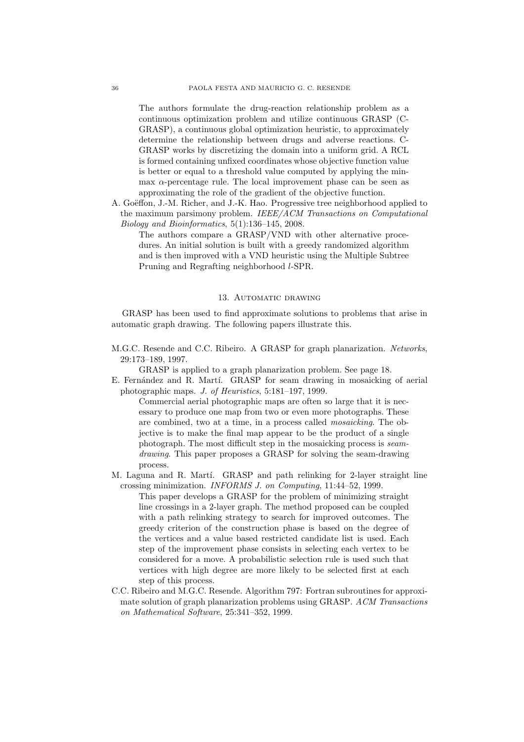The authors formulate the drug-reaction relationship problem as a continuous optimization problem and utilize continuous GRASP (C-GRASP), a continuous global optimization heuristic, to approximately determine the relationship between drugs and adverse reactions. C-GRASP works by discretizing the domain into a uniform grid. A RCL is formed containing unfixed coordinates whose objective function value is better or equal to a threshold value computed by applying the minmax  $\alpha$ -percentage rule. The local improvement phase can be seen as approximating the role of the gradient of the objective function.

A. Goëffon, J.-M. Richer, and J.-K. Hao. Progressive tree neighborhood applied to the maximum parsimony problem. IEEE/ACM Transactions on Computational Biology and Bioinformatics, 5(1):136–145, 2008.

The authors compare a GRASP/VND with other alternative procedures. An initial solution is built with a greedy randomized algorithm and is then improved with a VND heuristic using the Multiple Subtree Pruning and Regrafting neighborhood l-SPR.

## 13. Automatic drawing

GRASP has been used to find approximate solutions to problems that arise in automatic graph drawing. The following papers illustrate this.

M.G.C. Resende and C.C. Ribeiro. A GRASP for graph planarization. Networks, 29:173–189, 1997.

GRASP is applied to a graph planarization problem. See page 18.

E. Fernández and R. Martí. GRASP for seam drawing in mosaicking of aerial photographic maps. J. of Heuristics, 5:181–197, 1999.

Commercial aerial photographic maps are often so large that it is necessary to produce one map from two or even more photographs. These are combined, two at a time, in a process called mosaicking. The objective is to make the final map appear to be the product of a single photograph. The most difficult step in the mosaicking process is seamdrawing. This paper proposes a GRASP for solving the seam-drawing process.

M. Laguna and R. Martí. GRASP and path relinking for 2-layer straight line crossing minimization. INFORMS J. on Computing, 11:44–52, 1999.

This paper develops a GRASP for the problem of minimizing straight line crossings in a 2-layer graph. The method proposed can be coupled with a path relinking strategy to search for improved outcomes. The greedy criterion of the construction phase is based on the degree of the vertices and a value based restricted candidate list is used. Each step of the improvement phase consists in selecting each vertex to be considered for a move. A probabilistic selection rule is used such that vertices with high degree are more likely to be selected first at each step of this process.

C.C. Ribeiro and M.G.C. Resende. Algorithm 797: Fortran subroutines for approximate solution of graph planarization problems using GRASP. ACM Transactions on Mathematical Software, 25:341–352, 1999.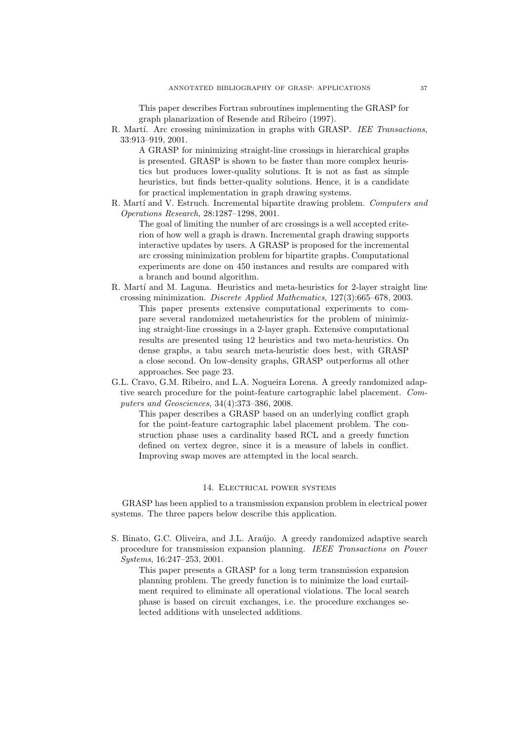This paper describes Fortran subroutines implementing the GRASP for graph planarization of Resende and Ribeiro (1997).

R. Martí. Arc crossing minimization in graphs with GRASP. IEE Transactions, 33:913–919, 2001.

A GRASP for minimizing straight-line crossings in hierarchical graphs is presented. GRASP is shown to be faster than more complex heuristics but produces lower-quality solutions. It is not as fast as simple heuristics, but finds better-quality solutions. Hence, it is a candidate for practical implementation in graph drawing systems.

R. Martí and V. Estruch. Incremental bipartite drawing problem. Computers and Operations Research, 28:1287–1298, 2001.

The goal of limiting the number of arc crossings is a well accepted criterion of how well a graph is drawn. Incremental graph drawing supports interactive updates by users. A GRASP is proposed for the incremental arc crossing minimization problem for bipartite graphs. Computational experiments are done on 450 instances and results are compared with a branch and bound algorithm.

- R. Martí and M. Laguna. Heuristics and meta-heuristics for 2-layer straight line crossing minimization. Discrete Applied Mathematics, 127(3):665–678, 2003.
	- This paper presents extensive computational experiments to compare several randomized metaheuristics for the problem of minimizing straight-line crossings in a 2-layer graph. Extensive computational results are presented using 12 heuristics and two meta-heuristics. On dense graphs, a tabu search meta-heuristic does best, with GRASP a close second. On low-density graphs, GRASP outperforms all other approaches. See page 23.
- G.L. Cravo, G.M. Ribeiro, and L.A. Nogueira Lorena. A greedy randomized adaptive search procedure for the point-feature cartographic label placement. Computers and Geosciences, 34(4):373–386, 2008.

This paper describes a GRASP based on an underlying conflict graph for the point-feature cartographic label placement problem. The construction phase uses a cardinality based RCL and a greedy function defined on vertex degree, since it is a measure of labels in conflict. Improving swap moves are attempted in the local search.

## 14. Electrical power systems

GRASP has been applied to a transmission expansion problem in electrical power systems. The three papers below describe this application.

S. Binato, G.C. Oliveira, and J.L. Araújo. A greedy randomized adaptive search procedure for transmission expansion planning. IEEE Transactions on Power Systems, 16:247–253, 2001.

This paper presents a GRASP for a long term transmission expansion planning problem. The greedy function is to minimize the load curtailment required to eliminate all operational violations. The local search phase is based on circuit exchanges, i.e. the procedure exchanges selected additions with unselected additions.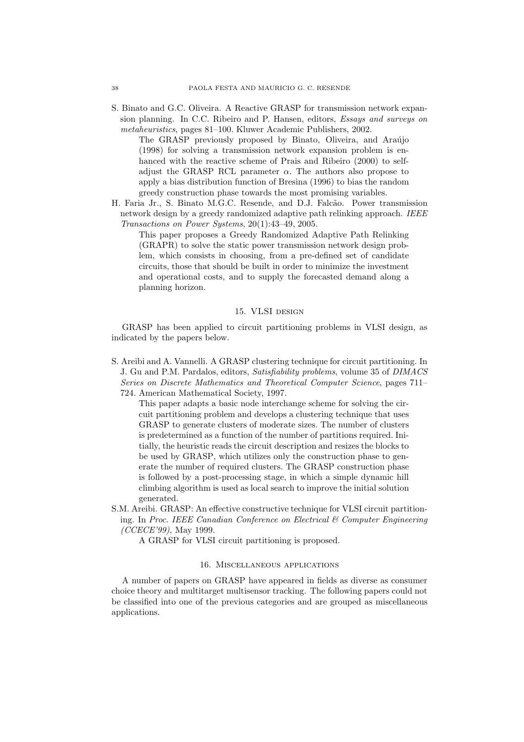S. Binato and G.C. Oliveira. A Reactive GRASP for transmission network expansion planning. In C.C. Ribeiro and P. Hansen, editors, Essays and surveys on metaheuristics, pages 81–100. Kluwer Academic Publishers, 2002.

The GRASP previously proposed by Binato, Oliveira, and Araújo (1998) for solving a transmission network expansion problem is enhanced with the reactive scheme of Prais and Ribeiro (2000) to selfadjust the GRASP RCL parameter  $\alpha$ . The authors also propose to apply a bias distribution function of Bresina (1996) to bias the random greedy construction phase towards the most promising variables.

H. Faria Jr., S. Binato M.G.C. Resende, and D.J. Falcão. Power transmission network design by a greedy randomized adaptive path relinking approach. IEEE Transactions on Power Systems, 20(1):43–49, 2005.

This paper proposes a Greedy Randomized Adaptive Path Relinking (GRAPR) to solve the static power transmission network design problem, which consists in choosing, from a pre-defined set of candidate circuits, those that should be built in order to minimize the investment and operational costs, and to supply the forecasted demand along a planning horizon.

### 15. VLSI DESIGN

GRASP has been applied to circuit partitioning problems in VLSI design, as indicated by the papers below.

S. Areibi and A. Vannelli. A GRASP clustering technique for circuit partitioning. In J. Gu and P.M. Pardalos, editors, Satisfiability problems, volume 35 of DIMACS Series on Discrete Mathematics and Theoretical Computer Science, pages 711– 724. American Mathematical Society, 1997.

This paper adapts a basic node interchange scheme for solving the circuit partitioning problem and develops a clustering technique that uses GRASP to generate clusters of moderate sizes. The number of clusters is predetermined as a function of the number of partitions required. Initially, the heuristic reads the circuit description and resizes the blocks to be used by GRASP, which utilizes only the construction phase to generate the number of required clusters. The GRASP construction phase is followed by a post-processing stage, in which a simple dynamic hill climbing algorithm is used as local search to improve the initial solution generated.

- S.M. Areibi. GRASP: An effective constructive technique for VLSI circuit partitioning. In Proc. IEEE Canadian Conference on Electrical & Computer Engineering (CCECE'99), May 1999.
	- A GRASP for VLSI circuit partitioning is proposed.

## 16. Miscellaneous applications

A number of papers on GRASP have appeared in fields as diverse as consumer choice theory and multitarget multisensor tracking. The following papers could not be classified into one of the previous categories and are grouped as miscellaneous applications.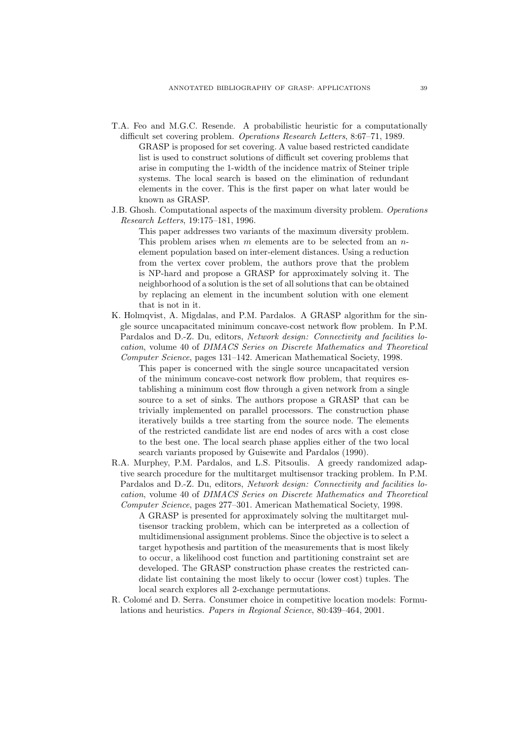- T.A. Feo and M.G.C. Resende. A probabilistic heuristic for a computationally difficult set covering problem. Operations Research Letters, 8:67–71, 1989. GRASP is proposed for set covering. A value based restricted candidate list is used to construct solutions of difficult set covering problems that arise in computing the 1-width of the incidence matrix of Steiner triple systems. The local search is based on the elimination of redundant elements in the cover. This is the first paper on what later would be known as GRASP.
- J.B. Ghosh. Computational aspects of the maximum diversity problem. Operations Research Letters, 19:175–181, 1996.

This paper addresses two variants of the maximum diversity problem. This problem arises when  $m$  elements are to be selected from an  $n$ element population based on inter-element distances. Using a reduction from the vertex cover problem, the authors prove that the problem is NP-hard and propose a GRASP for approximately solving it. The neighborhood of a solution is the set of all solutions that can be obtained by replacing an element in the incumbent solution with one element that is not in it.

- K. Holmqvist, A. Migdalas, and P.M. Pardalos. A GRASP algorithm for the single source uncapacitated minimum concave-cost network flow problem. In P.M. Pardalos and D.-Z. Du, editors, Network design: Connectivity and facilities location, volume 40 of DIMACS Series on Discrete Mathematics and Theoretical Computer Science, pages 131–142. American Mathematical Society, 1998.
	- This paper is concerned with the single source uncapacitated version of the minimum concave-cost network flow problem, that requires establishing a minimum cost flow through a given network from a single source to a set of sinks. The authors propose a GRASP that can be trivially implemented on parallel processors. The construction phase iteratively builds a tree starting from the source node. The elements of the restricted candidate list are end nodes of arcs with a cost close to the best one. The local search phase applies either of the two local search variants proposed by Guisewite and Pardalos (1990).
- R.A. Murphey, P.M. Pardalos, and L.S. Pitsoulis. A greedy randomized adaptive search procedure for the multitarget multisensor tracking problem. In P.M. Pardalos and D.-Z. Du, editors, Network design: Connectivity and facilities location, volume 40 of DIMACS Series on Discrete Mathematics and Theoretical Computer Science, pages 277–301. American Mathematical Society, 1998.

A GRASP is presented for approximately solving the multitarget multisensor tracking problem, which can be interpreted as a collection of multidimensional assignment problems. Since the objective is to select a target hypothesis and partition of the measurements that is most likely to occur, a likelihood cost function and partitioning constraint set are developed. The GRASP construction phase creates the restricted candidate list containing the most likely to occur (lower cost) tuples. The local search explores all 2-exchange permutations.

R. Colomé and D. Serra. Consumer choice in competitive location models: Formulations and heuristics. Papers in Regional Science, 80:439–464, 2001.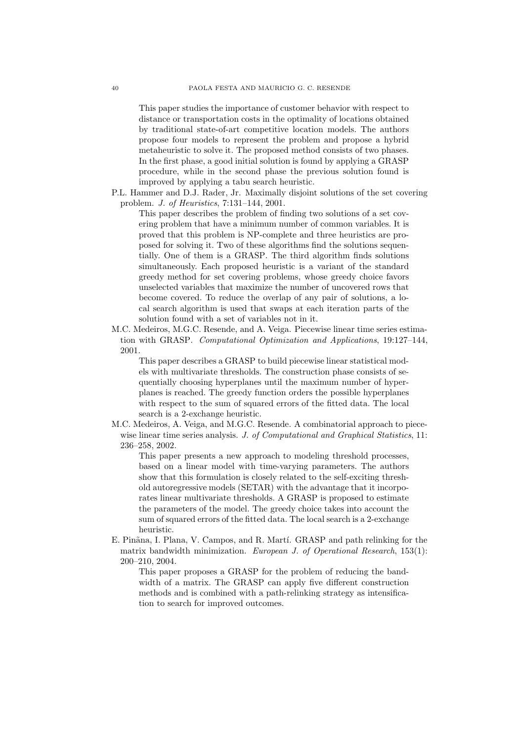This paper studies the importance of customer behavior with respect to distance or transportation costs in the optimality of locations obtained by traditional state-of-art competitive location models. The authors propose four models to represent the problem and propose a hybrid metaheuristic to solve it. The proposed method consists of two phases. In the first phase, a good initial solution is found by applying a GRASP procedure, while in the second phase the previous solution found is improved by applying a tabu search heuristic.

P.L. Hammer and D.J. Rader, Jr. Maximally disjoint solutions of the set covering problem. J. of Heuristics, 7:131–144, 2001.

This paper describes the problem of finding two solutions of a set covering problem that have a minimum number of common variables. It is proved that this problem is NP-complete and three heuristics are proposed for solving it. Two of these algorithms find the solutions sequentially. One of them is a GRASP. The third algorithm finds solutions simultaneously. Each proposed heuristic is a variant of the standard greedy method for set covering problems, whose greedy choice favors unselected variables that maximize the number of uncovered rows that become covered. To reduce the overlap of any pair of solutions, a local search algorithm is used that swaps at each iteration parts of the solution found with a set of variables not in it.

M.C. Medeiros, M.G.C. Resende, and A. Veiga. Piecewise linear time series estimation with GRASP. Computational Optimization and Applications, 19:127–144, 2001.

This paper describes a GRASP to build piecewise linear statistical models with multivariate thresholds. The construction phase consists of sequentially choosing hyperplanes until the maximum number of hyperplanes is reached. The greedy function orders the possible hyperplanes with respect to the sum of squared errors of the fitted data. The local search is a 2-exchange heuristic.

M.C. Medeiros, A. Veiga, and M.G.C. Resende. A combinatorial approach to piecewise linear time series analysis. J. of Computational and Graphical Statistics, 11: 236–258, 2002.

This paper presents a new approach to modeling threshold processes, based on a linear model with time-varying parameters. The authors show that this formulation is closely related to the self-exciting threshold autoregressive models (SETAR) with the advantage that it incorporates linear multivariate thresholds. A GRASP is proposed to estimate the parameters of the model. The greedy choice takes into account the sum of squared errors of the fitted data. The local search is a 2-exchange heuristic.

E. Pinãna, I. Plana, V. Campos, and R. Martí. GRASP and path relinking for the matrix bandwidth minimization. European J. of Operational Research, 153(1): 200–210, 2004.

This paper proposes a GRASP for the problem of reducing the bandwidth of a matrix. The GRASP can apply five different construction methods and is combined with a path-relinking strategy as intensification to search for improved outcomes.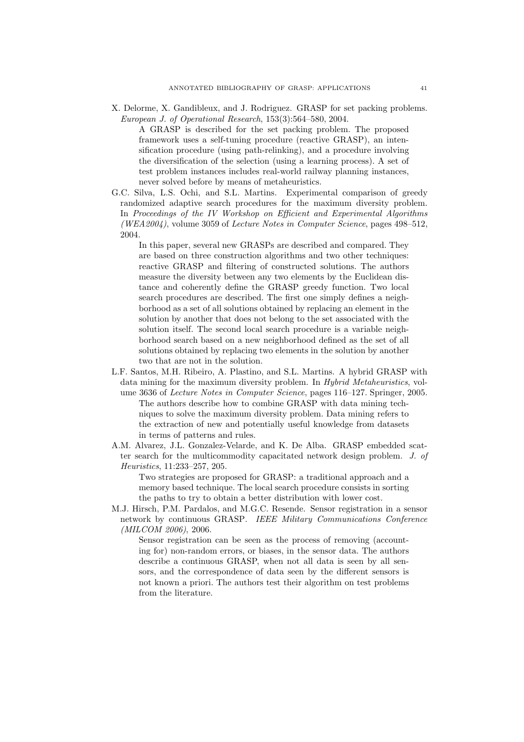X. Delorme, X. Gandibleux, and J. Rodriguez. GRASP for set packing problems. European J. of Operational Research, 153(3):564–580, 2004.

A GRASP is described for the set packing problem. The proposed framework uses a self-tuning procedure (reactive GRASP), an intensification procedure (using path-relinking), and a procedure involving the diversification of the selection (using a learning process). A set of test problem instances includes real-world railway planning instances, never solved before by means of metaheuristics.

G.C. Silva, L.S. Ochi, and S.L. Martins. Experimental comparison of greedy randomized adaptive search procedures for the maximum diversity problem. In Proceedings of the IV Workshop on Efficient and Experimental Algorithms (WEA2004), volume 3059 of Lecture Notes in Computer Science, pages  $498-512$ , 2004.

In this paper, several new GRASPs are described and compared. They are based on three construction algorithms and two other techniques: reactive GRASP and filtering of constructed solutions. The authors measure the diversity between any two elements by the Euclidean distance and coherently define the GRASP greedy function. Two local search procedures are described. The first one simply defines a neighborhood as a set of all solutions obtained by replacing an element in the solution by another that does not belong to the set associated with the solution itself. The second local search procedure is a variable neighborhood search based on a new neighborhood defined as the set of all solutions obtained by replacing two elements in the solution by another two that are not in the solution.

- L.F. Santos, M.H. Ribeiro, A. Plastino, and S.L. Martins. A hybrid GRASP with data mining for the maximum diversity problem. In Hybrid Metaheuristics, volume 3636 of Lecture Notes in Computer Science, pages 116–127. Springer, 2005.
	- The authors describe how to combine GRASP with data mining techniques to solve the maximum diversity problem. Data mining refers to the extraction of new and potentially useful knowledge from datasets in terms of patterns and rules.
- A.M. Alvarez, J.L. Gonzalez-Velarde, and K. De Alba. GRASP embedded scatter search for the multicommodity capacitated network design problem. J. of Heuristics, 11:233–257, 205.

Two strategies are proposed for GRASP: a traditional approach and a memory based technique. The local search procedure consists in sorting the paths to try to obtain a better distribution with lower cost.

M.J. Hirsch, P.M. Pardalos, and M.G.C. Resende. Sensor registration in a sensor network by continuous GRASP. IEEE Military Communications Conference (MILCOM 2006), 2006.

Sensor registration can be seen as the process of removing (accounting for) non-random errors, or biases, in the sensor data. The authors describe a continuous GRASP, when not all data is seen by all sensors, and the correspondence of data seen by the different sensors is not known a priori. The authors test their algorithm on test problems from the literature.